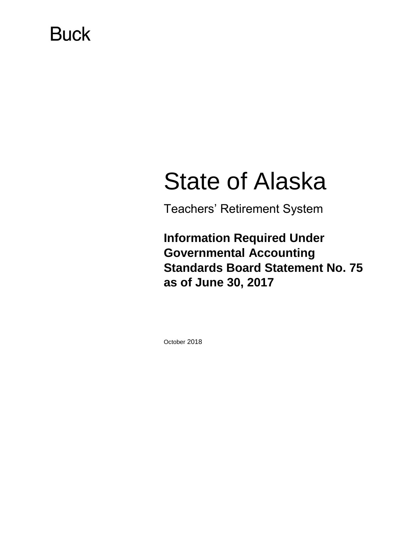# **Buck**

# State of Alaska

Teachers' Retirement System

**Information Required Under Governmental Accounting Standards Board Statement No. 75 as of June 30, 2017**

October 2018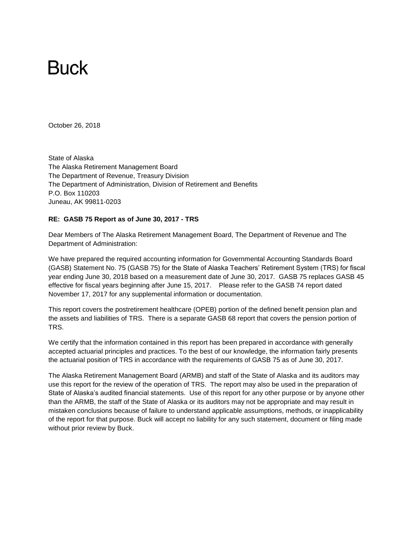# **Buck**

October 26, 2018

State of Alaska The Alaska Retirement Management Board The Department of Revenue, Treasury Division The Department of Administration, Division of Retirement and Benefits P.O. Box 110203 Juneau, AK 99811-0203

#### **RE: GASB 75 Report as of June 30, 2017 - TRS**

Dear Members of The Alaska Retirement Management Board, The Department of Revenue and The Department of Administration:

We have prepared the required accounting information for Governmental Accounting Standards Board (GASB) Statement No. 75 (GASB 75) for the State of Alaska Teachers' Retirement System (TRS) for fiscal year ending June 30, 2018 based on a measurement date of June 30, 2017. GASB 75 replaces GASB 45 effective for fiscal years beginning after June 15, 2017. Please refer to the GASB 74 report dated November 17, 2017 for any supplemental information or documentation.

This report covers the postretirement healthcare (OPEB) portion of the defined benefit pension plan and the assets and liabilities of TRS. There is a separate GASB 68 report that covers the pension portion of TRS.

We certify that the information contained in this report has been prepared in accordance with generally accepted actuarial principles and practices. To the best of our knowledge, the information fairly presents the actuarial position of TRS in accordance with the requirements of GASB 75 as of June 30, 2017.

The Alaska Retirement Management Board (ARMB) and staff of the State of Alaska and its auditors may use this report for the review of the operation of TRS. The report may also be used in the preparation of State of Alaska's audited financial statements. Use of this report for any other purpose or by anyone other than the ARMB, the staff of the State of Alaska or its auditors may not be appropriate and may result in mistaken conclusions because of failure to understand applicable assumptions, methods, or inapplicability of the report for that purpose. Buck will accept no liability for any such statement, document or filing made without prior review by Buck.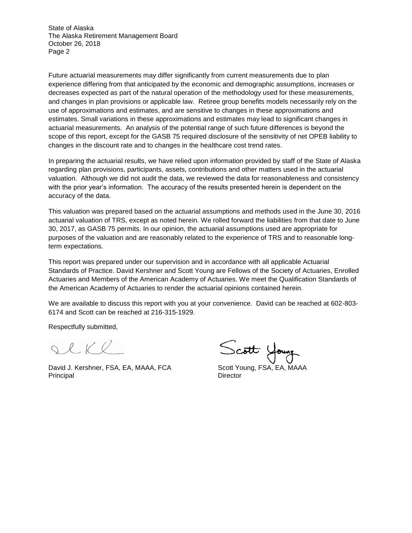State of Alaska The Alaska Retirement Management Board October 26, 2018 Page 2

Future actuarial measurements may differ significantly from current measurements due to plan experience differing from that anticipated by the economic and demographic assumptions, increases or decreases expected as part of the natural operation of the methodology used for these measurements, and changes in plan provisions or applicable law. Retiree group benefits models necessarily rely on the use of approximations and estimates, and are sensitive to changes in these approximations and estimates. Small variations in these approximations and estimates may lead to significant changes in actuarial measurements. An analysis of the potential range of such future differences is beyond the scope of this report, except for the GASB 75 required disclosure of the sensitivity of net OPEB liability to changes in the discount rate and to changes in the healthcare cost trend rates.

In preparing the actuarial results, we have relied upon information provided by staff of the State of Alaska regarding plan provisions, participants, assets, contributions and other matters used in the actuarial valuation. Although we did not audit the data, we reviewed the data for reasonableness and consistency with the prior year's information. The accuracy of the results presented herein is dependent on the accuracy of the data.

This valuation was prepared based on the actuarial assumptions and methods used in the June 30, 2016 actuarial valuation of TRS, except as noted herein. We rolled forward the liabilities from that date to June 30, 2017, as GASB 75 permits. In our opinion, the actuarial assumptions used are appropriate for purposes of the valuation and are reasonably related to the experience of TRS and to reasonable longterm expectations.

This report was prepared under our supervision and in accordance with all applicable Actuarial Standards of Practice. David Kershner and Scott Young are Fellows of the Society of Actuaries, Enrolled Actuaries and Members of the American Academy of Actuaries. We meet the Qualification Standards of the American Academy of Actuaries to render the actuarial opinions contained herein.

We are available to discuss this report with you at your convenience. David can be reached at 602-803- 6174 and Scott can be reached at 216-315-1929.

Respectfully submitted,

 $Q \cdot \ell$ 

David J. Kershner, FSA, EA, MAAA, FCA Scott Young, FSA, EA, MAAA Principal Director

Scott Young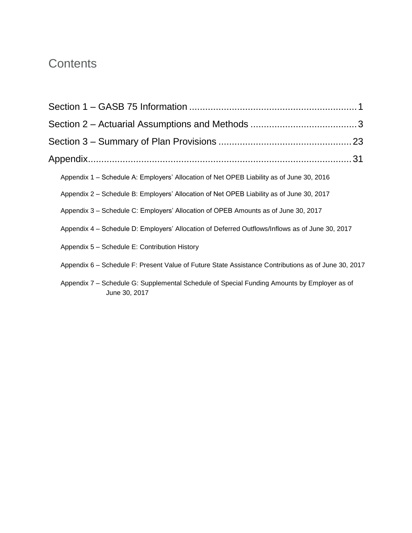## **Contents**

| Appendix 1 – Schedule A: Employers' Allocation of Net OPEB Liability as of June 30, 2016                     |  |
|--------------------------------------------------------------------------------------------------------------|--|
| Appendix 2 – Schedule B: Employers' Allocation of Net OPEB Liability as of June 30, 2017                     |  |
| Appendix 3 - Schedule C: Employers' Allocation of OPEB Amounts as of June 30, 2017                           |  |
| Appendix 4 - Schedule D: Employers' Allocation of Deferred Outflows/Inflows as of June 30, 2017              |  |
| Appendix 5 - Schedule E: Contribution History                                                                |  |
| Appendix 6 – Schedule F: Present Value of Future State Assistance Contributions as of June 30, 2017          |  |
| Appendix 7 – Schedule G: Supplemental Schedule of Special Funding Amounts by Employer as of<br>June 30, 2017 |  |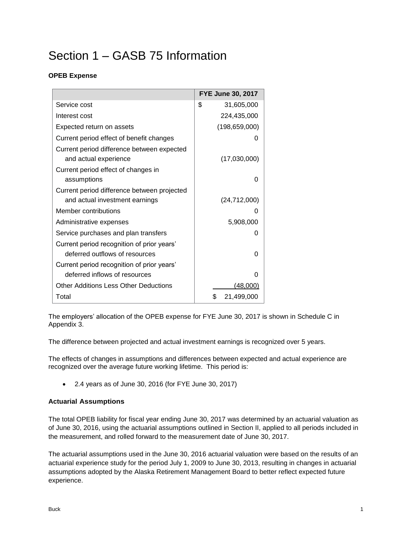# <span id="page-4-0"></span>Section 1 – GASB 75 Information

## **OPEB Expense**

|                                             | FYE June 30, 2017 |
|---------------------------------------------|-------------------|
| Service cost                                | \$<br>31,605,000  |
| Interest cost                               | 224,435,000       |
| Expected return on assets                   | (198, 659, 000)   |
| Current period effect of benefit changes    |                   |
| Current period difference between expected  |                   |
| and actual experience                       | (17,030,000)      |
| Current period effect of changes in         |                   |
| assumptions                                 |                   |
| Current period difference between projected |                   |
| and actual investment earnings              | (24, 712, 000)    |
| Member contributions                        |                   |
| Administrative expenses                     | 5,908,000         |
| Service purchases and plan transfers        |                   |
| Current period recognition of prior years'  |                   |
| deferred outflows of resources              |                   |
| Current period recognition of prior years'  |                   |
| deferred inflows of resources               |                   |
| Other Additions Less Other Deductions       | (48,000)          |
| Total                                       | \$<br>21,499,000  |

The employers' allocation of the OPEB expense for FYE June 30, 2017 is shown in Schedule C in Appendix 3.

The difference between projected and actual investment earnings is recognized over 5 years.

The effects of changes in assumptions and differences between expected and actual experience are recognized over the average future working lifetime. This period is:

• 2.4 years as of June 30, 2016 (for FYE June 30, 2017)

#### **Actuarial Assumptions**

The total OPEB liability for fiscal year ending June 30, 2017 was determined by an actuarial valuation as of June 30, 2016, using the actuarial assumptions outlined in Section II, applied to all periods included in the measurement, and rolled forward to the measurement date of June 30, 2017.

The actuarial assumptions used in the June 30, 2016 actuarial valuation were based on the results of an actuarial experience study for the period July 1, 2009 to June 30, 2013, resulting in changes in actuarial assumptions adopted by the Alaska Retirement Management Board to better reflect expected future experience.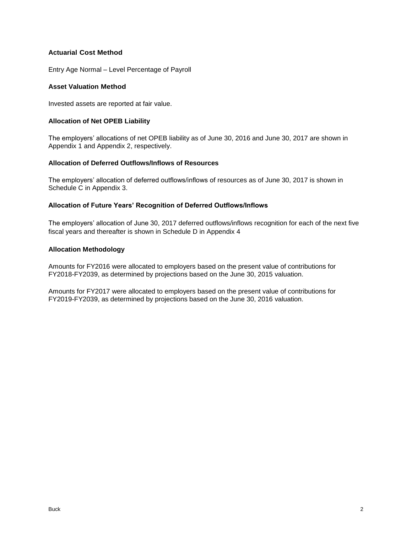#### **Actuarial Cost Method**

Entry Age Normal – Level Percentage of Payroll

#### **Asset Valuation Method**

Invested assets are reported at fair value.

#### **Allocation of Net OPEB Liability**

The employers' allocations of net OPEB liability as of June 30, 2016 and June 30, 2017 are shown in Appendix 1 and Appendix 2, respectively.

#### **Allocation of Deferred Outflows/Inflows of Resources**

The employers' allocation of deferred outflows/inflows of resources as of June 30, 2017 is shown in Schedule C in Appendix 3.

### **Allocation of Future Years' Recognition of Deferred Outflows/Inflows**

The employers' allocation of June 30, 2017 deferred outflows/inflows recognition for each of the next five fiscal years and thereafter is shown in Schedule D in Appendix 4

#### **Allocation Methodology**

Amounts for FY2016 were allocated to employers based on the present value of contributions for FY2018-FY2039, as determined by projections based on the June 30, 2015 valuation.

Amounts for FY2017 were allocated to employers based on the present value of contributions for FY2019-FY2039, as determined by projections based on the June 30, 2016 valuation.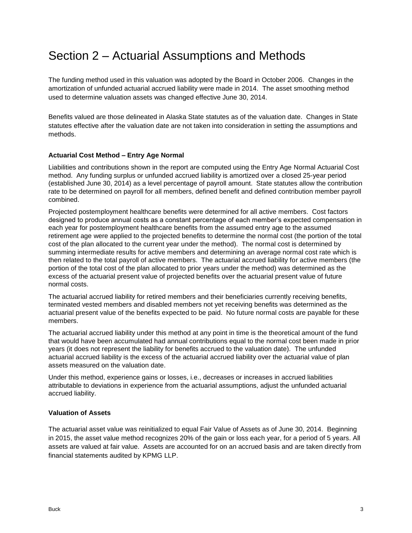## <span id="page-6-0"></span>Section 2 – Actuarial Assumptions and Methods

The funding method used in this valuation was adopted by the Board in October 2006. Changes in the amortization of unfunded actuarial accrued liability were made in 2014. The asset smoothing method used to determine valuation assets was changed effective June 30, 2014.

Benefits valued are those delineated in Alaska State statutes as of the valuation date. Changes in State statutes effective after the valuation date are not taken into consideration in setting the assumptions and methods.

#### **Actuarial Cost Method – Entry Age Normal**

Liabilities and contributions shown in the report are computed using the Entry Age Normal Actuarial Cost method. Any funding surplus or unfunded accrued liability is amortized over a closed 25-year period (established June 30, 2014) as a level percentage of payroll amount. State statutes allow the contribution rate to be determined on payroll for all members, defined benefit and defined contribution member payroll combined.

Projected postemployment healthcare benefits were determined for all active members. Cost factors designed to produce annual costs as a constant percentage of each member's expected compensation in each year for postemployment healthcare benefits from the assumed entry age to the assumed retirement age were applied to the projected benefits to determine the normal cost (the portion of the total cost of the plan allocated to the current year under the method). The normal cost is determined by summing intermediate results for active members and determining an average normal cost rate which is then related to the total payroll of active members. The actuarial accrued liability for active members (the portion of the total cost of the plan allocated to prior years under the method) was determined as the excess of the actuarial present value of projected benefits over the actuarial present value of future normal costs.

The actuarial accrued liability for retired members and their beneficiaries currently receiving benefits, terminated vested members and disabled members not yet receiving benefits was determined as the actuarial present value of the benefits expected to be paid. No future normal costs are payable for these members.

The actuarial accrued liability under this method at any point in time is the theoretical amount of the fund that would have been accumulated had annual contributions equal to the normal cost been made in prior years (it does not represent the liability for benefits accrued to the valuation date). The unfunded actuarial accrued liability is the excess of the actuarial accrued liability over the actuarial value of plan assets measured on the valuation date.

Under this method, experience gains or losses, i.e., decreases or increases in accrued liabilities attributable to deviations in experience from the actuarial assumptions, adjust the unfunded actuarial accrued liability.

#### **Valuation of Assets**

The actuarial asset value was reinitialized to equal Fair Value of Assets as of June 30, 2014. Beginning in 2015, the asset value method recognizes 20% of the gain or loss each year, for a period of 5 years. All assets are valued at fair value. Assets are accounted for on an accrued basis and are taken directly from financial statements audited by KPMG LLP.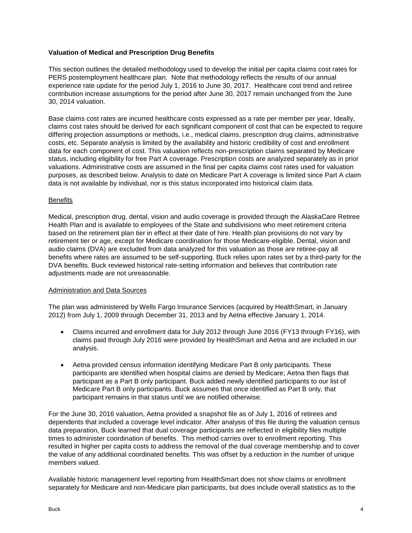#### **Valuation of Medical and Prescription Drug Benefits**

This section outlines the detailed methodology used to develop the initial per capita claims cost rates for PERS postemployment healthcare plan. Note that methodology reflects the results of our annual experience rate update for the period July 1, 2016 to June 30, 2017. Healthcare cost trend and retiree contribution increase assumptions for the period after June 30, 2017 remain unchanged from the June 30, 2014 valuation.

Base claims cost rates are incurred healthcare costs expressed as a rate per member per year. Ideally, claims cost rates should be derived for each significant component of cost that can be expected to require differing projection assumptions or methods, i.e., medical claims, prescription drug claims, administrative costs, etc. Separate analysis is limited by the availability and historic credibility of cost and enrollment data for each component of cost. This valuation reflects non-prescription claims separated by Medicare status, including eligibility for free Part A coverage. Prescription costs are analyzed separately as in prior valuations. Administrative costs are assumed in the final per capita claims cost rates used for valuation purposes, as described below. Analysis to date on Medicare Part A coverage is limited since Part A claim data is not available by individual, nor is this status incorporated into historical claim data.

#### **Benefits**

Medical, prescription drug, dental, vision and audio coverage is provided through the AlaskaCare Retiree Health Plan and is available to employees of the State and subdivisions who meet retirement criteria based on the retirement plan tier in effect at their date of hire. Health plan provisions do not vary by retirement tier or age, except for Medicare coordination for those Medicare-eligible. Dental, vision and audio claims (DVA) are excluded from data analyzed for this valuation as those are retiree-pay all benefits where rates are assumed to be self-supporting. Buck relies upon rates set by a third-party for the DVA benefits. Buck reviewed historical rate-setting information and believes that contribution rate adjustments made are not unreasonable.

#### Administration and Data Sources

The plan was administered by Wells Fargo Insurance Services (acquired by HealthSmart, in January 2012) from July 1, 2009 through December 31, 2013 and by Aetna effective January 1, 2014.

- Claims incurred and enrollment data for July 2012 through June 2016 (FY13 through FY16), with claims paid through July 2016 were provided by HealthSmart and Aetna and are included in our analysis.
- Aetna provided census information identifying Medicare Part B only participants. These participants are identified when hospital claims are denied by Medicare; Aetna then flags that participant as a Part B only participant. Buck added newly identified participants to our list of Medicare Part B only participants. Buck assumes that once identified as Part B only, that participant remains in that status until we are notified otherwise.

For the June 30, 2016 valuation, Aetna provided a snapshot file as of July 1, 2016 of retirees and dependents that included a coverage level indicator. After analysis of this file during the valuation census data preparation, Buck learned that dual coverage participants are reflected in eligibility files multiple times to administer coordination of benefits. This method carries over to enrollment reporting. This resulted in higher per capita costs to address the removal of the dual coverage membership and to cover the value of any additional coordinated benefits. This was offset by a reduction in the number of unique members valued.

Available historic management level reporting from HealthSmart does not show claims or enrollment separately for Medicare and non-Medicare plan participants, but does include overall statistics as to the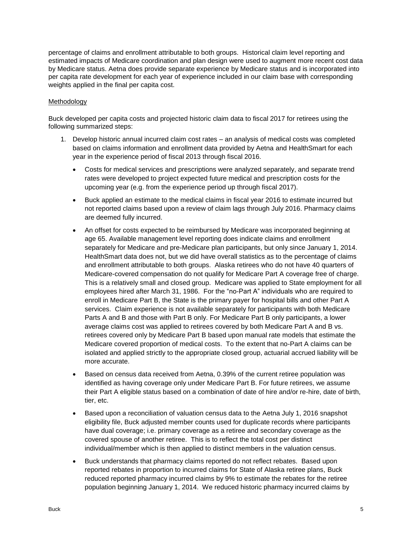percentage of claims and enrollment attributable to both groups. Historical claim level reporting and estimated impacts of Medicare coordination and plan design were used to augment more recent cost data by Medicare status. Aetna does provide separate experience by Medicare status and is incorporated into per capita rate development for each year of experience included in our claim base with corresponding weights applied in the final per capita cost.

#### Methodology

Buck developed per capita costs and projected historic claim data to fiscal 2017 for retirees using the following summarized steps:

- 1. Develop historic annual incurred claim cost rates an analysis of medical costs was completed based on claims information and enrollment data provided by Aetna and HealthSmart for each year in the experience period of fiscal 2013 through fiscal 2016.
	- Costs for medical services and prescriptions were analyzed separately, and separate trend rates were developed to project expected future medical and prescription costs for the upcoming year (e.g. from the experience period up through fiscal 2017).
	- Buck applied an estimate to the medical claims in fiscal year 2016 to estimate incurred but not reported claims based upon a review of claim lags through July 2016. Pharmacy claims are deemed fully incurred.
	- An offset for costs expected to be reimbursed by Medicare was incorporated beginning at age 65. Available management level reporting does indicate claims and enrollment separately for Medicare and pre-Medicare plan participants, but only since January 1, 2014. HealthSmart data does not, but we did have overall statistics as to the percentage of claims and enrollment attributable to both groups. Alaska retirees who do not have 40 quarters of Medicare-covered compensation do not qualify for Medicare Part A coverage free of charge. This is a relatively small and closed group. Medicare was applied to State employment for all employees hired after March 31, 1986. For the "no-Part A" individuals who are required to enroll in Medicare Part B, the State is the primary payer for hospital bills and other Part A services. Claim experience is not available separately for participants with both Medicare Parts A and B and those with Part B only. For Medicare Part B only participants, a lower average claims cost was applied to retirees covered by both Medicare Part A and B vs. retirees covered only by Medicare Part B based upon manual rate models that estimate the Medicare covered proportion of medical costs. To the extent that no-Part A claims can be isolated and applied strictly to the appropriate closed group, actuarial accrued liability will be more accurate.
	- Based on census data received from Aetna, 0.39% of the current retiree population was identified as having coverage only under Medicare Part B. For future retirees, we assume their Part A eligible status based on a combination of date of hire and/or re-hire, date of birth, tier, etc.
	- Based upon a reconciliation of valuation census data to the Aetna July 1, 2016 snapshot eligibility file, Buck adjusted member counts used for duplicate records where participants have dual coverage; i.e. primary coverage as a retiree and secondary coverage as the covered spouse of another retiree. This is to reflect the total cost per distinct individual/member which is then applied to distinct members in the valuation census.
	- Buck understands that pharmacy claims reported do not reflect rebates. Based upon reported rebates in proportion to incurred claims for State of Alaska retiree plans, Buck reduced reported pharmacy incurred claims by 9% to estimate the rebates for the retiree population beginning January 1, 2014. We reduced historic pharmacy incurred claims by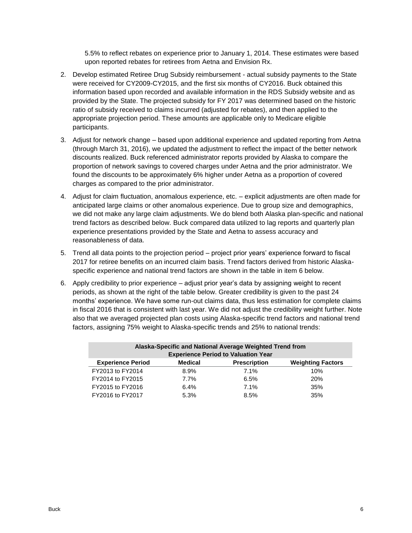5.5% to reflect rebates on experience prior to January 1, 2014. These estimates were based upon reported rebates for retirees from Aetna and Envision Rx.

- 2. Develop estimated Retiree Drug Subsidy reimbursement actual subsidy payments to the State were received for CY2009-CY2015, and the first six months of CY2016. Buck obtained this information based upon recorded and available information in the RDS Subsidy website and as provided by the State. The projected subsidy for FY 2017 was determined based on the historic ratio of subsidy received to claims incurred (adjusted for rebates), and then applied to the appropriate projection period. These amounts are applicable only to Medicare eligible participants.
- 3. Adjust for network change based upon additional experience and updated reporting from Aetna (through March 31, 2016), we updated the adjustment to reflect the impact of the better network discounts realized. Buck referenced administrator reports provided by Alaska to compare the proportion of network savings to covered charges under Aetna and the prior administrator. We found the discounts to be approximately 6% higher under Aetna as a proportion of covered charges as compared to the prior administrator.
- 4. Adjust for claim fluctuation, anomalous experience, etc. explicit adjustments are often made for anticipated large claims or other anomalous experience. Due to group size and demographics, we did not make any large claim adjustments. We do blend both Alaska plan-specific and national trend factors as described below. Buck compared data utilized to lag reports and quarterly plan experience presentations provided by the State and Aetna to assess accuracy and reasonableness of data.
- 5. Trend all data points to the projection period project prior years' experience forward to fiscal 2017 for retiree benefits on an incurred claim basis. Trend factors derived from historic Alaskaspecific experience and national trend factors are shown in the table in item 6 below.
- 6. Apply credibility to prior experience adjust prior year's data by assigning weight to recent periods, as shown at the right of the table below. Greater credibility is given to the past 24 months' experience. We have some run-out claims data, thus less estimation for complete claims in fiscal 2016 that is consistent with last year. We did not adjust the credibility weight further. Note also that we averaged projected plan costs using Alaska-specific trend factors and national trend factors, assigning 75% weight to Alaska-specific trends and 25% to national trends:

| Alaska-Specific and National Average Weighted Trend from<br><b>Experience Period to Valuation Year</b> |                |                     |                          |  |  |  |  |
|--------------------------------------------------------------------------------------------------------|----------------|---------------------|--------------------------|--|--|--|--|
| <b>Experience Period</b>                                                                               | <b>Medical</b> | <b>Prescription</b> | <b>Weighting Factors</b> |  |  |  |  |
| FY2013 to FY2014                                                                                       | 8.9%           | 7.1%                | 10%                      |  |  |  |  |
| FY2014 to FY2015                                                                                       | 7.7%           | 6.5%                | 20%                      |  |  |  |  |
| FY2015 to FY2016                                                                                       | 6.4%           | 7.1%                | 35%                      |  |  |  |  |
| FY2016 to FY2017                                                                                       | 5.3%           | 8.5%                | 35%                      |  |  |  |  |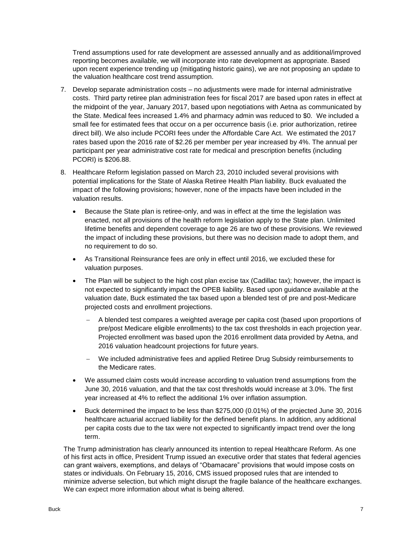Trend assumptions used for rate development are assessed annually and as additional/improved reporting becomes available, we will incorporate into rate development as appropriate. Based upon recent experience trending up (mitigating historic gains), we are not proposing an update to the valuation healthcare cost trend assumption.

- 7. Develop separate administration costs no adjustments were made for internal administrative costs. Third party retiree plan administration fees for fiscal 2017 are based upon rates in effect at the midpoint of the year, January 2017, based upon negotiations with Aetna as communicated by the State. Medical fees increased 1.4% and pharmacy admin was reduced to \$0. We included a small fee for estimated fees that occur on a per occurrence basis (i.e. prior authorization, retiree direct bill). We also include PCORI fees under the Affordable Care Act. We estimated the 2017 rates based upon the 2016 rate of \$2.26 per member per year increased by 4%. The annual per participant per year administrative cost rate for medical and prescription benefits (including PCORI) is \$206.88.
- 8. Healthcare Reform legislation passed on March 23, 2010 included several provisions with potential implications for the State of Alaska Retiree Health Plan liability. Buck evaluated the impact of the following provisions; however, none of the impacts have been included in the valuation results.
	- Because the State plan is retiree-only, and was in effect at the time the legislation was enacted, not all provisions of the health reform legislation apply to the State plan. Unlimited lifetime benefits and dependent coverage to age 26 are two of these provisions. We reviewed the impact of including these provisions, but there was no decision made to adopt them, and no requirement to do so.
	- As Transitional Reinsurance fees are only in effect until 2016, we excluded these for valuation purposes.
	- The Plan will be subject to the high cost plan excise tax (Cadillac tax); however, the impact is not expected to significantly impact the OPEB liability. Based upon guidance available at the valuation date, Buck estimated the tax based upon a blended test of pre and post-Medicare projected costs and enrollment projections.
		- A blended test compares a weighted average per capita cost (based upon proportions of pre/post Medicare eligible enrollments) to the tax cost thresholds in each projection year. Projected enrollment was based upon the 2016 enrollment data provided by Aetna, and 2016 valuation headcount projections for future years.
		- We included administrative fees and applied Retiree Drug Subsidy reimbursements to the Medicare rates.
	- We assumed claim costs would increase according to valuation trend assumptions from the June 30, 2016 valuation, and that the tax cost thresholds would increase at 3.0%. The first year increased at 4% to reflect the additional 1% over inflation assumption.
	- Buck determined the impact to be less than \$275,000 (0.01%) of the projected June 30, 2016 healthcare actuarial accrued liability for the defined benefit plans. In addition, any additional per capita costs due to the tax were not expected to significantly impact trend over the long term.

The Trump administration has clearly announced its intention to repeal Healthcare Reform. As one of his first acts in office, President Trump issued an executive order that states that federal agencies can grant waivers, exemptions, and delays of "Obamacare" provisions that would impose costs on states or individuals. On February 15, 2016, CMS issued proposed rules that are intended to minimize adverse selection, but which might disrupt the fragile balance of the healthcare exchanges. We can expect more information about what is being altered.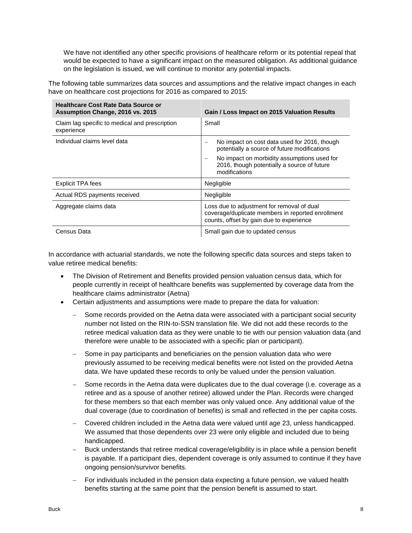We have not identified any other specific provisions of healthcare reform or its potential repeal that would be expected to have a significant impact on the measured obligation. As additional guidance on the legislation is issued, we will continue to monitor any potential impacts.

The following table summarizes data sources and assumptions and the relative impact changes in each have on healthcare cost projections for 2016 as compared to 2015:

| <b>Healthcare Cost Rate Data Source or</b><br>Assumption Change, 2016 vs. 2015 | Gain / Loss Impact on 2015 Valuation Results                                                                                                |
|--------------------------------------------------------------------------------|---------------------------------------------------------------------------------------------------------------------------------------------|
| Claim lag specific to medical and prescription<br>experience                   | Small                                                                                                                                       |
| Individual claims level data                                                   | No impact on cost data used for 2016, though<br>potentially a source of future modifications                                                |
|                                                                                | No impact on morbidity assumptions used for<br>2016, though potentially a source of future<br>modifications                                 |
| <b>Explicit TPA fees</b>                                                       | Negligible                                                                                                                                  |
| Actual RDS payments received                                                   | Negligible                                                                                                                                  |
| Aggregate claims data                                                          | Loss due to adjustment for removal of dual<br>coverage/duplicate members in reported enrollment<br>counts, offset by gain due to experience |
| Census Data                                                                    | Small gain due to updated census                                                                                                            |

In accordance with actuarial standards, we note the following specific data sources and steps taken to value retiree medical benefits:

- The Division of Retirement and Benefits provided pension valuation census data, which for people currently in receipt of healthcare benefits was supplemented by coverage data from the healthcare claims administrator (Aetna)
- Certain adjustments and assumptions were made to prepare the data for valuation:
	- Some records provided on the Aetna data were associated with a participant social security number not listed on the RIN-to-SSN translation file. We did not add these records to the retiree medical valuation data as they were unable to tie with our pension valuation data (and therefore were unable to be associated with a specific plan or participant).
	- Some in pay participants and beneficiaries on the pension valuation data who were previously assumed to be receiving medical benefits were not listed on the provided Aetna data. We have updated these records to only be valued under the pension valuation.
	- Some records in the Aetna data were duplicates due to the dual coverage (i.e. coverage as a retiree and as a spouse of another retiree) allowed under the Plan. Records were changed for these members so that each member was only valued once. Any additional value of the dual coverage (due to coordination of benefits) is small and reflected in the per capita costs.
	- Covered children included in the Aetna data were valued until age 23, unless handicapped. We assumed that those dependents over 23 were only eligible and included due to being handicapped.
	- Buck understands that retiree medical coverage/eligibility is in place while a pension benefit is payable. If a participant dies, dependent coverage is only assumed to continue if they have ongoing pension/survivor benefits.
	- For individuals included in the pension data expecting a future pension, we valued health benefits starting at the same point that the pension benefit is assumed to start.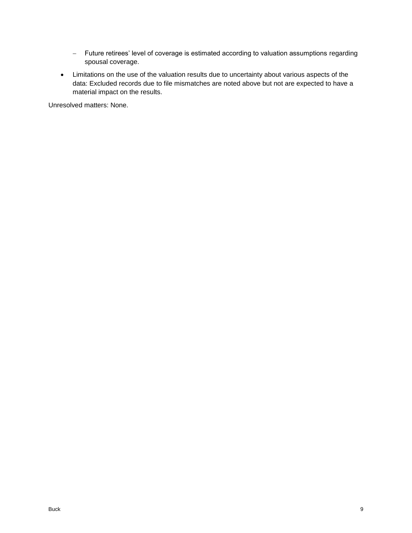- Future retirees' level of coverage is estimated according to valuation assumptions regarding spousal coverage.
- Limitations on the use of the valuation results due to uncertainty about various aspects of the data: Excluded records due to file mismatches are noted above but not are expected to have a material impact on the results.

Unresolved matters: None.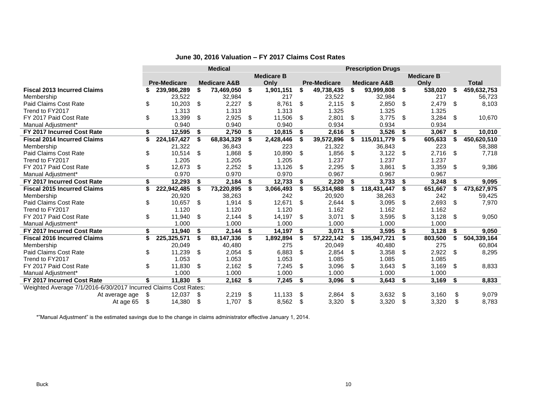|                                                                 |    | <b>Medical</b>      |    |                         |      | <b>Prescription Drugs</b> |      |                     |      |                         |      |                   |      |              |
|-----------------------------------------------------------------|----|---------------------|----|-------------------------|------|---------------------------|------|---------------------|------|-------------------------|------|-------------------|------|--------------|
|                                                                 |    |                     |    |                         |      | <b>Medicare B</b>         |      |                     |      |                         |      | <b>Medicare B</b> |      |              |
|                                                                 |    | <b>Pre-Medicare</b> |    | <b>Medicare A&amp;B</b> |      | Only                      |      | <b>Pre-Medicare</b> |      | <b>Medicare A&amp;B</b> |      | Only              |      | <b>Total</b> |
| <b>Fiscal 2013 Incurred Claims</b>                              | ፍ  | 239,986,289         | \$ | 73,469,050              | \$   | 1,901,151                 | \$   | 49,738,435          | \$   | 93,999,808              | -\$  | 538,020           | -\$  | 459,632,753  |
| Membership                                                      |    | 23,522              |    | 32,984                  |      | 217                       |      | 23,522              |      | 32,984                  |      | 217               |      | 56,723       |
| Paid Claims Cost Rate                                           | \$ | 10,203              | \$ | 2,227                   | \$   | 8,761                     | S.   | 2,115               | \$   | 2,850                   | - \$ | 2,479             | \$   | 8,103        |
| Trend to FY2017                                                 |    | 1.313               |    | 1.313                   |      | 1.313                     |      | 1.325               |      | 1.325                   |      | 1.325             |      |              |
| FY 2017 Paid Cost Rate                                          | \$ | 13,399              | \$ | 2,925                   | \$   | 11,506                    | \$   | 2,801               | \$   | 3,775                   | -\$  | 3,284             | \$   | 10,670       |
| Manual Adjustment*                                              |    | 0.940               |    | 0.940                   |      | 0.940                     |      | 0.934               |      | 0.934                   |      | 0.934             |      |              |
| FY 2017 Incurred Cost Rate                                      | \$ | 12,595              | \$ | 2,750                   | \$   | 10,815                    | -\$  | 2,616               | \$   | 3,526                   | - \$ | 3,067             | Ŝ.   | 10,010       |
| <b>Fiscal 2014 Incurred Claims</b>                              | \$ | 224, 167, 427       | \$ | 68,834,329              | \$   | 2,428,446                 | \$   | 39,572,896          | \$   | 115,011,779             | -\$  | 605,633           | -\$  | 450,620,510  |
| Membership                                                      |    | 21,322              |    | 36,843                  |      | 223                       |      | 21,322              |      | 36,843                  |      | 223               |      | 58,388       |
| Paid Claims Cost Rate                                           | \$ | 10,514              | \$ | 1,868                   | \$   | 10,890                    | \$   | 1,856               | S    | 3,122                   | - \$ | 2,716             | \$   | 7,718        |
| Trend to FY2017                                                 |    | 1.205               |    | 1.205                   |      | 1.205                     |      | 1.237               |      | 1.237                   |      | 1.237             |      |              |
| FY 2017 Paid Cost Rate                                          | \$ | 12,673              | \$ | 2,252                   | -\$  | 13,126                    | - \$ | 2,295               | \$   | 3,861                   | - \$ | 3,359             | \$   | 9,386        |
| Manual Adjustment*                                              |    | 0.970               |    | 0.970                   |      | 0.970                     |      | 0.967               |      | 0.967                   |      | 0.967             |      |              |
| FY 2017 Incurred Cost Rate                                      | \$ | 12,293              | S. | 2,184                   | \$   | 12,733                    | \$   | 2,220               | \$   | 3,733                   | -\$  | 3,248             | -\$  | 9,095        |
| <b>Fiscal 2015 Incurred Claims</b>                              | \$ | 222,942,485         | \$ | 73,220,895              | \$   | 3,066,493                 | \$   | 55,314,988          | \$   | 118,431,447             | \$   | 651,667           | \$   | 473,627,975  |
| Membership                                                      |    | 20,920              |    | 38,263                  |      | 242                       |      | 20,920              |      | 38,263                  |      | 242               |      | 59,425       |
| Paid Claims Cost Rate                                           | \$ | 10,657              | \$ | 1,914                   | \$   | 12,671                    | \$   | 2,644               | S    | 3,095                   | \$   | 2,693             | \$   | 7,970        |
| Trend to FY2017                                                 |    | 1.120               |    | 1.120                   |      | 1.120                     |      | 1.162               |      | 1.162                   |      | 1.162             |      |              |
| FY 2017 Paid Cost Rate                                          | \$ | 11,940              | \$ | 2,144                   | - \$ | 14,197                    | - \$ | 3,071               | - \$ | 3,595                   | - \$ | 3,128             | - \$ | 9,050        |
| Manual Adjustment*                                              |    | 1.000               |    | 1.000                   |      | 1.000                     |      | 1.000               |      | 1.000                   |      | 1.000             |      |              |
| FY 2017 Incurred Cost Rate                                      | \$ | 11,940              | \$ | 2,144                   | -\$  | 14,197                    | - \$ | 3,071               | - \$ | 3,595                   | - \$ | 3,128             | - \$ | 9,050        |
| <b>Fiscal 2016 Incurred Claims</b>                              | \$ | 225,325,571         | \$ | 83,147,336              | \$   | 1,892,894                 | \$   | 57,222,142          | \$   | 135,947,721             | \$   | 803,500           | -\$  | 504,339,164  |
| Membership                                                      |    | 20,049              |    | 40,480                  |      | 275                       |      | 20,049              |      | 40,480                  |      | 275               |      | 60,804       |
| Paid Claims Cost Rate                                           | \$ | 11,239              | \$ | 2,054                   | \$   | 6,883                     | \$   | 2,854               | S    | 3,358                   | \$   | 2,922             | \$.  | 8,295        |
| Trend to FY2017                                                 |    | 1.053               |    | 1.053                   |      | 1.053                     |      | 1.085               |      | 1.085                   |      | 1.085             |      |              |
| FY 2017 Paid Cost Rate                                          | \$ | 11,830              | \$ | 2,162                   | \$   | 7,245                     | \$   | 3,096               | \$   | 3,643                   | -\$  | 3,169             | \$   | 8,833        |
| Manual Adjustment*                                              |    | 1.000               |    | 1.000                   |      | 1.000                     |      | 1.000               |      | 1.000                   |      | 1.000             |      |              |
| FY 2017 Incurred Cost Rate                                      | \$ | 11,830              | \$ | 2,162                   | \$   | 7,245                     | \$   | 3,096               | \$   | 3,643                   | - \$ | 3,169             | -\$  | 8,833        |
| Weighted Average 7/1/2016-6/30/2017 Incurred Claims Cost Rates: |    |                     |    |                         |      |                           |      |                     |      |                         |      |                   |      |              |
| At average age                                                  | -S | 12,037              | \$ | 2,219                   | \$   | 11,133                    | S    | 2,864               | S.   | 3,632                   | S    | 3,160             | S    | 9,079        |
| At age 65                                                       | \$ | 14,380              | \$ | 1,707                   | \$   | 8,562                     | \$   | 3,320               | \$   | 3,320                   | \$   | 3,320             | \$   | 8,783        |

### **June 30, 2016 Valuation – FY 2017 Claims Cost Rates**

\*"Manual Adjustment" is the estimated savings due to the change in claims administrator effective January 1, 2014.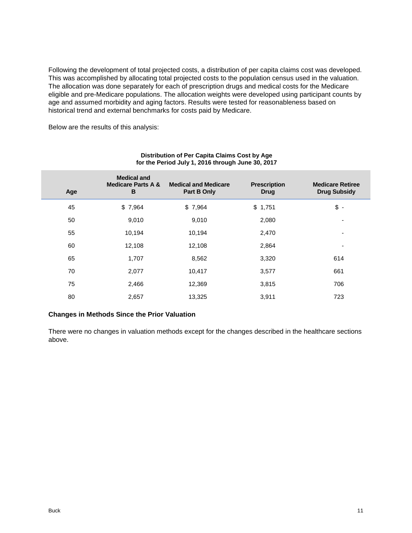Following the development of total projected costs, a distribution of per capita claims cost was developed. This was accomplished by allocating total projected costs to the population census used in the valuation. The allocation was done separately for each of prescription drugs and medical costs for the Medicare eligible and pre-Medicare populations. The allocation weights were developed using participant counts by age and assumed morbidity and aging factors. Results were tested for reasonableness based on historical trend and external benchmarks for costs paid by Medicare.

Below are the results of this analysis:

| Age | <b>Medical and</b><br><b>Medicare Parts A &amp;</b><br>B | <b>Medical and Medicare</b><br>Part B Only | <b>Prescription</b><br><b>Drug</b> | <b>Medicare Retiree</b><br><b>Drug Subsidy</b> |
|-----|----------------------------------------------------------|--------------------------------------------|------------------------------------|------------------------------------------------|
| 45  | \$7,964                                                  | \$7,964                                    | \$1,751                            | $\sqrt[6]{}$ -                                 |
| 50  | 9,010                                                    | 9,010                                      | 2,080                              | $\overline{\phantom{0}}$                       |
| 55  | 10,194                                                   | 10,194                                     | 2,470                              | ۰                                              |
| 60  | 12,108                                                   | 12,108                                     | 2,864                              | ۰                                              |
| 65  | 1,707                                                    | 8,562                                      | 3,320                              | 614                                            |
| 70  | 2,077                                                    | 10,417                                     | 3,577                              | 661                                            |
| 75  | 2,466                                                    | 12,369                                     | 3,815                              | 706                                            |
| 80  | 2,657                                                    | 13,325                                     | 3,911                              | 723                                            |

#### **Distribution of Per Capita Claims Cost by Age for the Period July 1, 2016 through June 30, 2017**

#### **Changes in Methods Since the Prior Valuation**

There were no changes in valuation methods except for the changes described in the healthcare sections above.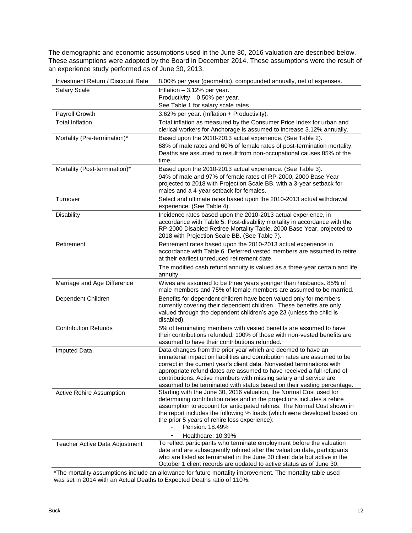The demographic and economic assumptions used in the June 30, 2016 valuation are described below. These assumptions were adopted by the Board in December 2014. These assumptions were the result of an experience study performed as of June 30, 2013.

| <b>Investment Return / Discount Rate</b> | 8.00% per year (geometric), compounded annually, net of expenses.                                                                                   |
|------------------------------------------|-----------------------------------------------------------------------------------------------------------------------------------------------------|
| Salary Scale                             | Inflation - 3.12% per year.                                                                                                                         |
|                                          | Productivity - 0.50% per year.                                                                                                                      |
|                                          | See Table 1 for salary scale rates.                                                                                                                 |
| Payroll Growth                           | 3.62% per year. (Inflation + Productivity).                                                                                                         |
| <b>Total Inflation</b>                   | Total inflation as measured by the Consumer Price Index for urban and                                                                               |
|                                          | clerical workers for Anchorage is assumed to increase 3.12% annually.                                                                               |
| Mortality (Pre-termination)*             | Based upon the 2010-2013 actual experience. (See Table 2).                                                                                          |
|                                          | 68% of male rates and 60% of female rates of post-termination mortality.                                                                            |
|                                          | Deaths are assumed to result from non-occupational causes 85% of the                                                                                |
|                                          | time.                                                                                                                                               |
| Mortality (Post-termination)*            | Based upon the 2010-2013 actual experience. (See Table 3).                                                                                          |
|                                          | 94% of male and 97% of female rates of RP-2000, 2000 Base Year                                                                                      |
|                                          | projected to 2018 with Projection Scale BB, with a 3-year setback for                                                                               |
|                                          | males and a 4-year setback for females.                                                                                                             |
| Turnover                                 | Select and ultimate rates based upon the 2010-2013 actual withdrawal<br>experience. (See Table 4).                                                  |
| <b>Disability</b>                        | Incidence rates based upon the 2010-2013 actual experience, in                                                                                      |
|                                          | accordance with Table 5. Post-disability mortality in accordance with the                                                                           |
|                                          | RP-2000 Disabled Retiree Mortality Table, 2000 Base Year, projected to                                                                              |
|                                          | 2018 with Projection Scale BB. (See Table 7).                                                                                                       |
| Retirement                               | Retirement rates based upon the 2010-2013 actual experience in                                                                                      |
|                                          | accordance with Table 6. Deferred vested members are assumed to retire                                                                              |
|                                          | at their earliest unreduced retirement date.                                                                                                        |
|                                          | The modified cash refund annuity is valued as a three-year certain and life                                                                         |
|                                          | annuity.                                                                                                                                            |
| Marriage and Age Difference              | Wives are assumed to be three years younger than husbands. 85% of<br>male members and 75% of female members are assumed to be married.              |
| Dependent Children                       | Benefits for dependent children have been valued only for members                                                                                   |
|                                          | currently covering their dependent children. These benefits are only                                                                                |
|                                          | valued through the dependent children's age 23 (unless the child is                                                                                 |
|                                          | disabled).                                                                                                                                          |
| <b>Contribution Refunds</b>              | 5% of terminating members with vested benefits are assumed to have                                                                                  |
|                                          | their contributions refunded. 100% of those with non-vested benefits are                                                                            |
|                                          | assumed to have their contributions refunded.                                                                                                       |
| <b>Imputed Data</b>                      | Data changes from the prior year which are deemed to have an                                                                                        |
|                                          | immaterial impact on liabilities and contribution rates are assumed to be<br>correct in the current year's client data. Nonvested terminations with |
|                                          | appropriate refund dates are assumed to have received a full refund of                                                                              |
|                                          | contributions. Active members with missing salary and service are                                                                                   |
|                                          | assumed to be terminated with status based on their vesting percentage.                                                                             |
| <b>Active Rehire Assumption</b>          | Starting with the June 30, 2016 valuation, the Normal Cost used for                                                                                 |
|                                          | determining contribution rates and in the projections includes a rehire<br>assumption to account for anticipated rehires. The Normal Cost shown in  |
|                                          | the report includes the following % loads (which were developed based on                                                                            |
|                                          | the prior 5 years of rehire loss experience):                                                                                                       |
|                                          | Pension: 18.49%                                                                                                                                     |
|                                          | Healthcare: 10.39%                                                                                                                                  |
| Teacher Active Data Adjustment           | To reflect participants who terminate employment before the valuation                                                                               |
|                                          | date and are subsequently rehired after the valuation date, participants                                                                            |
|                                          | who are listed as terminated in the June 30 client data but active in the<br>October 1 client records are updated to active status as of June 30.   |
|                                          |                                                                                                                                                     |

\*The mortality assumptions include an allowance for future mortality improvement. The mortality table used was set in 2014 with an Actual Deaths to Expected Deaths ratio of 110%.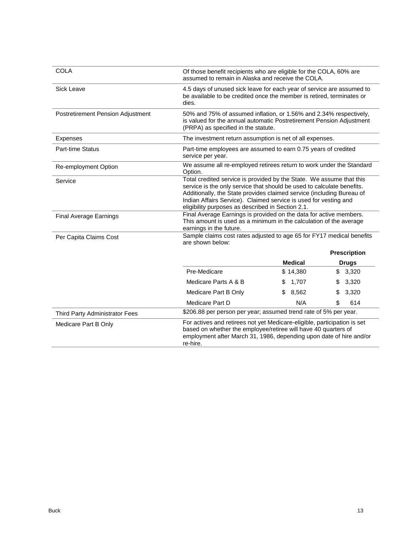| <b>COLA</b>                       | Of those benefit recipients who are eligible for the COLA, 60% are<br>assumed to remain in Alaska and receive the COLA.                                                                                                                                                                                                                          |                |                     |  |  |  |
|-----------------------------------|--------------------------------------------------------------------------------------------------------------------------------------------------------------------------------------------------------------------------------------------------------------------------------------------------------------------------------------------------|----------------|---------------------|--|--|--|
| Sick Leave                        | 4.5 days of unused sick leave for each year of service are assumed to<br>be available to be credited once the member is retired, terminates or<br>dies.                                                                                                                                                                                          |                |                     |  |  |  |
| Postretirement Pension Adjustment | 50% and 75% of assumed inflation, or 1.56% and 2.34% respectively,<br>is valued for the annual automatic Postretirement Pension Adjustment<br>(PRPA) as specified in the statute.                                                                                                                                                                |                |                     |  |  |  |
| <b>Expenses</b>                   | The investment return assumption is net of all expenses.                                                                                                                                                                                                                                                                                         |                |                     |  |  |  |
| <b>Part-time Status</b>           | Part-time employees are assumed to earn 0.75 years of credited<br>service per year.                                                                                                                                                                                                                                                              |                |                     |  |  |  |
| Re-employment Option              | We assume all re-employed retirees return to work under the Standard<br>Option.                                                                                                                                                                                                                                                                  |                |                     |  |  |  |
| Service                           | Total credited service is provided by the State. We assume that this<br>service is the only service that should be used to calculate benefits.<br>Additionally, the State provides claimed service (including Bureau of<br>Indian Affairs Service). Claimed service is used for vesting and<br>eligibility purposes as described in Section 2.1. |                |                     |  |  |  |
| <b>Final Average Earnings</b>     | Final Average Earnings is provided on the data for active members.<br>This amount is used as a minimum in the calculation of the average<br>earnings in the future.                                                                                                                                                                              |                |                     |  |  |  |
| Per Capita Claims Cost            | Sample claims cost rates adjusted to age 65 for FY17 medical benefits<br>are shown below:                                                                                                                                                                                                                                                        |                |                     |  |  |  |
|                                   |                                                                                                                                                                                                                                                                                                                                                  |                | <b>Prescription</b> |  |  |  |
|                                   |                                                                                                                                                                                                                                                                                                                                                  | <b>Medical</b> | <b>Drugs</b>        |  |  |  |
|                                   | Pre-Medicare                                                                                                                                                                                                                                                                                                                                     | \$14,380       | \$<br>3,320         |  |  |  |
|                                   | Medicare Parts A & B                                                                                                                                                                                                                                                                                                                             | 1,707<br>S     | 3,320<br>S          |  |  |  |
|                                   | Medicare Part B Only                                                                                                                                                                                                                                                                                                                             | 8,562<br>\$    | 3,320<br>\$         |  |  |  |
|                                   | Medicare Part D                                                                                                                                                                                                                                                                                                                                  | N/A            | \$<br>614           |  |  |  |
| Third Party Administrator Fees    | \$206.88 per person per year; assumed trend rate of 5% per year.                                                                                                                                                                                                                                                                                 |                |                     |  |  |  |
| Medicare Part B Only              | For actives and retirees not yet Medicare-eligible, participation is set<br>based on whether the employee/retiree will have 40 quarters of<br>employment after March 31, 1986, depending upon date of hire and/or<br>re-hire.                                                                                                                    |                |                     |  |  |  |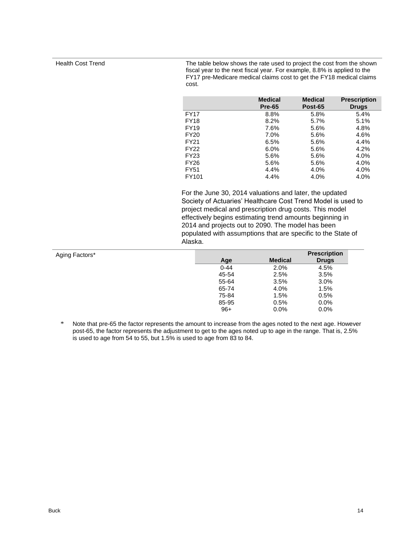Health Cost Trend The table below shows the rate used to project the cost from the shown fiscal year to the next fiscal year. For example, 8.8% is applied to the FY17 pre-Medicare medical claims cost to get the FY18 medical claims cost.

|             | <b>Medical</b><br><b>Pre-65</b> | <b>Medical</b><br>Post-65 | <b>Prescription</b><br><b>Drugs</b> |
|-------------|---------------------------------|---------------------------|-------------------------------------|
| <b>FY17</b> | 8.8%                            | 5.8%                      | 5.4%                                |
| <b>FY18</b> | 8.2%                            | 5.7%                      | 5.1%                                |
| <b>FY19</b> | 7.6%                            | 5.6%                      | 4.8%                                |
| <b>FY20</b> | 7.0%                            | 5.6%                      | 4.6%                                |
| <b>FY21</b> | 6.5%                            | 5.6%                      | 4.4%                                |
| <b>FY22</b> | 6.0%                            | 5.6%                      | 4.2%                                |
| <b>FY23</b> | 5.6%                            | 5.6%                      | 4.0%                                |
| <b>FY26</b> | 5.6%                            | 5.6%                      | 4.0%                                |
| FY51        | 4.4%                            | 4.0%                      | 4.0%                                |
| FY101       | 4.4%                            | 4.0%                      | 4.0%                                |

For the June 30, 2014 valuations and later, the updated Society of Actuaries' Healthcare Cost Trend Model is used to project medical and prescription drug costs. This model effectively begins estimating trend amounts beginning in 2014 and projects out to 2090. The model has been populated with assumptions that are specific to the State of Alaska.

| Aging Factors* |          |                | <b>Prescription</b> |
|----------------|----------|----------------|---------------------|
|                | Age      | <b>Medical</b> | <b>Drugs</b>        |
|                | $0 - 44$ | 2.0%           | 4.5%                |
|                | 45-54    | 2.5%           | 3.5%                |
|                | 55-64    | 3.5%           | 3.0%                |
|                | 65-74    | 4.0%           | 1.5%                |
|                | 75-84    | 1.5%           | 0.5%                |
|                | 85-95    | 0.5%           | 0.0%                |
|                | $96+$    | 0.0%           | 0.0%                |

\* Note that pre-65 the factor represents the amount to increase from the ages noted to the next age. However post-65, the factor represents the adjustment to get to the ages noted up to age in the range. That is, 2.5% is used to age from 54 to 55, but 1.5% is used to age from 83 to 84.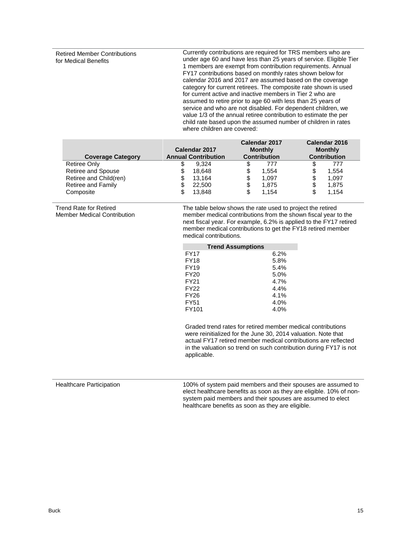Retired Member Contributions for Medical Benefits

Currently contributions are required for TRS members who are under age 60 and have less than 25 years of service. Eligible Tier 1 members are exempt from contribution requirements. Annual FY17 contributions based on monthly rates shown below for calendar 2016 and 2017 are assumed based on the coverage category for current retirees. The composite rate shown is used for current active and inactive members in Tier 2 who are assumed to retire prior to age 60 with less than 25 years of service and who are not disabled. For dependent children, we value 1/3 of the annual retiree contribution to estimate the per child rate based upon the assumed number of children in rates where children are covered:

| <b>Coverage Category</b> | Calendar 2017<br><b>Annual Contribution</b> | Calendar 2017<br><b>Monthly</b><br><b>Contribution</b> | Calendar 2016<br><b>Monthly</b><br><b>Contribution</b> |
|--------------------------|---------------------------------------------|--------------------------------------------------------|--------------------------------------------------------|
| Retiree Only             | 9.324                                       | 777                                                    | 777<br>\$                                              |
| Retiree and Spouse       | 18.648<br>S                                 | 1.554<br>S                                             | 1,554<br>\$                                            |
| Retiree and Child(ren)   | 13.164<br>S                                 | 1.097                                                  | 1,097<br>\$                                            |
| Retiree and Family       | 22,500                                      | 1.875                                                  | \$<br>1,875                                            |
| Composite                | 13.848<br>S                                 | 1.154                                                  | 1,154<br>\$                                            |

Trend Rate for Retired Member Medical Contribution The table below shows the rate used to project the retired member medical contributions from the shown fiscal year to the next fiscal year. For example, 6.2% is applied to the FY17 retired member medical contributions to get the FY18 retired member medical contributions.

| <b>Trend Assumptions</b> |      |  |  |  |  |
|--------------------------|------|--|--|--|--|
| <b>FY17</b>              | 6.2% |  |  |  |  |
| <b>FY18</b>              | 5.8% |  |  |  |  |
| <b>FY19</b>              | 5.4% |  |  |  |  |
| FY20                     | 5.0% |  |  |  |  |
| <b>FY21</b>              | 4.7% |  |  |  |  |
| FY22                     | 4.4% |  |  |  |  |
| <b>FY26</b>              | 4.1% |  |  |  |  |
| <b>FY51</b>              | 4.0% |  |  |  |  |
| FY101                    | 4.0% |  |  |  |  |

Graded trend rates for retired member medical contributions were reinitialized for the June 30, 2014 valuation. Note that actual FY17 retired member medical contributions are reflected in the valuation so trend on such contribution during FY17 is not applicable.

Healthcare Participation 100% of system paid members and their spouses are assumed to elect healthcare benefits as soon as they are eligible. 10% of nonsystem paid members and their spouses are assumed to elect healthcare benefits as soon as they are eligible.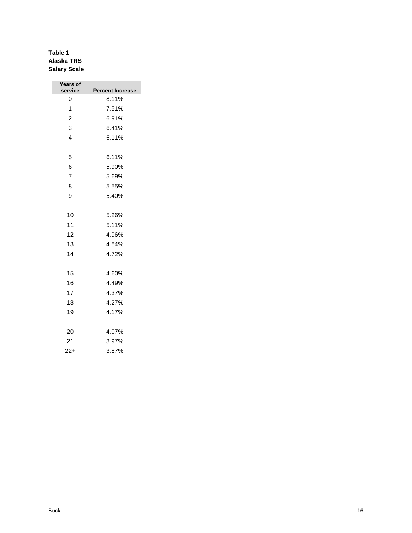### **Table 1 Alaska TRS Salary Scale**

| Years of<br>service | <b>Percent Increase</b> |
|---------------------|-------------------------|
| 0                   | 8.11%                   |
| 1                   | 7.51%                   |
| 2                   | 6.91%                   |
| 3                   | 6.41%                   |
| 4                   | 6.11%                   |
|                     |                         |
| 5                   | 6.11%                   |
| 6                   | 5.90%                   |
| $\overline{7}$      | 5.69%                   |
| 8                   | 5.55%                   |
| 9                   | 5.40%                   |
|                     |                         |
| 10                  | 5.26%                   |
| 11                  | 5.11%                   |
| 12                  | 4.96%                   |
| 13                  | 4.84%                   |
| 14                  | 4.72%                   |
|                     |                         |
| 15                  | 4.60%                   |
| 16                  | 4.49%                   |
| 17                  | 4.37%                   |
| 18                  | 4.27%                   |
| 19                  | 4.17%                   |
| 20                  | 4.07%                   |
|                     |                         |
| 21                  | 3.97%                   |
| $22+$               | 3.87%                   |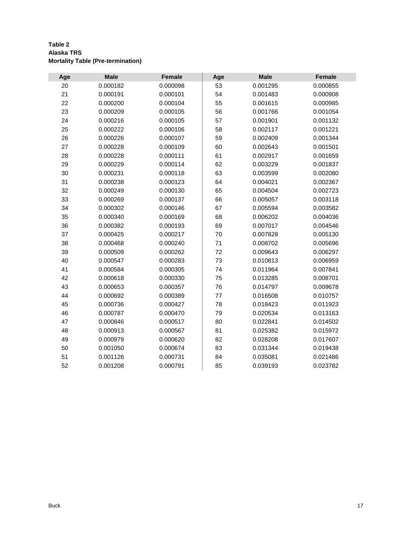| Table 2                                  |  |
|------------------------------------------|--|
| Alaska TRS                               |  |
| <b>Mortality Table (Pre-termination)</b> |  |

| Age | <b>Male</b> | <b>Female</b> | Age     | <b>Male</b> | <b>Female</b> |
|-----|-------------|---------------|---------|-------------|---------------|
| 20  | 0.000182    | 0.000098      | 53      | 0.001295    | 0.000855      |
| 21  | 0.000191    | 0.000101      | 54      | 0.001483    | 0.000908      |
| 22  | 0.000200    | 0.000104      | 55      | 0.001615    | 0.000985      |
| 23  | 0.000209    | 0.000105      | 56      | 0.001766    | 0.001054      |
| 24  | 0.000216    | 0.000105      | 57      | 0.001901    | 0.001132      |
| 25  | 0.000222    | 0.000106      | 58      | 0.002117    | 0.001221      |
| 26  | 0.000226    | 0.000107      | 59      | 0.002409    | 0.001344      |
| 27  | 0.000228    | 0.000109      | 60      | 0.002643    | 0.001501      |
| 28  | 0.000228    | 0.000111      | 61      | 0.002917    | 0.001659      |
| 29  | 0.000229    | 0.000114      | 62      | 0.003229    | 0.001837      |
| 30  | 0.000231    | 0.000118      | 63      | 0.003599    | 0.002080      |
| 31  | 0.000238    | 0.000123      | 64      | 0.004021    | 0.002367      |
| 32  | 0.000249    | 0.000130      | 65      | 0.004504    | 0.002723      |
| 33  | 0.000269    | 0.000137      | 66      | 0.005057    | 0.003118      |
| 34  | 0.000302    | 0.000146      | 67      | 0.005594    | 0.003582      |
| 35  | 0.000340    | 0.000169      | 68      | 0.006202    | 0.004036      |
| 36  | 0.000382    | 0.000193      | 69      | 0.007017    | 0.004546      |
| 37  | 0.000425    | 0.000217      | 70      | 0.007828    | 0.005130      |
| 38  | 0.000468    | 0.000240      | 71      | 0.008702    | 0.005696      |
| 39  | 0.000509    | 0.000262      | 72      | 0.009643    | 0.006297      |
| 40  | 0.000547    | 0.000283      | 73      | 0.010813    | 0.006959      |
| 41  | 0.000584    | 0.000305      | 74      | 0.011964    | 0.007841      |
| 42  | 0.000618    | 0.000330      | 75      | 0.013285    | 0.008701      |
| 43  | 0.000653    | 0.000357      | 76      | 0.014797    | 0.009678      |
| 44  | 0.000692    | 0.000389      | $77 \,$ | 0.016508    | 0.010757      |
| 45  | 0.000736    | 0.000427      | 78      | 0.018423    | 0.011923      |
| 46  | 0.000787    | 0.000470      | 79      | 0.020534    | 0.013163      |
| 47  | 0.000846    | 0.000517      | 80      | 0.022841    | 0.014502      |
| 48  | 0.000913    | 0.000567      | 81      | 0.025382    | 0.015972      |
| 49  | 0.000979    | 0.000620      | 82      | 0.028208    | 0.017607      |
| 50  | 0.001050    | 0.000674      | 83      | 0.031344    | 0.019438      |
| 51  | 0.001126    | 0.000731      | 84      | 0.035081    | 0.021486      |
| 52  | 0.001208    | 0.000791      | 85      | 0.039193    | 0.023782      |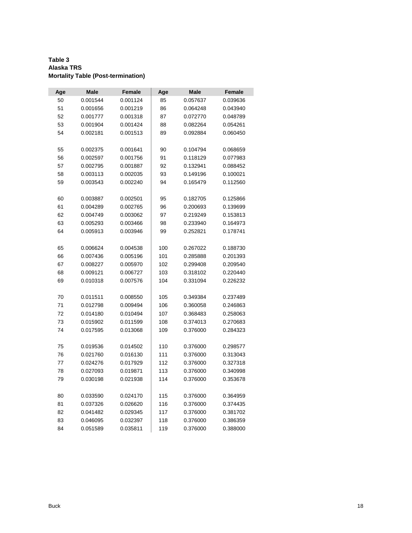#### **Table 3 Alaska TRS Mortality Table (Post-termination)**

| Age      | <b>Male</b> | <b>Female</b> | Age        | <b>Male</b> | Female   |
|----------|-------------|---------------|------------|-------------|----------|
| 50       | 0.001544    | 0.001124      | 85         | 0.057637    | 0.039636 |
| 51       | 0.001656    | 0.001219      | 86         | 0.064248    | 0.043940 |
| 52       | 0.001777    | 0.001318      | 87         | 0.072770    | 0.048789 |
| 53       | 0.001904    | 0.001424      | 88         | 0.082264    | 0.054261 |
| 54       | 0.002181    | 0.001513      | 89         | 0.092884    | 0.060450 |
|          |             |               |            |             |          |
| 55       | 0.002375    | 0.001641      | 90         | 0.104794    | 0.068659 |
| 56       | 0.002597    | 0.001756      | 91         | 0.118129    | 0.077983 |
| 57       | 0.002795    | 0.001887      | 92         | 0.132941    | 0.088452 |
| 58       | 0.003113    | 0.002035      | 93         | 0.149196    | 0.100021 |
| 59       | 0.003543    | 0.002240      | 94         | 0.165479    | 0.112560 |
|          |             |               |            |             |          |
| 60       | 0.003887    | 0.002501      | 95         | 0.182705    | 0.125866 |
| 61       | 0.004289    | 0.002765      | 96         | 0.200693    | 0.139699 |
| 62       | 0.004749    | 0.003062      | 97         | 0.219249    | 0.153813 |
| 63       | 0.005293    | 0.003466      | 98         | 0.233940    | 0.164973 |
| 64       | 0.005913    | 0.003946      | 99         | 0.252821    | 0.178741 |
|          |             |               |            |             |          |
| 65       | 0.006624    | 0.004538      | 100        | 0.267022    | 0.188730 |
| 66       | 0.007436    | 0.005196      | 101        | 0.285888    | 0.201393 |
| 67       | 0.008227    | 0.005970      | 102        | 0.299408    | 0.209540 |
| 68       | 0.009121    | 0.006727      | 103        | 0.318102    | 0.220440 |
| 69       | 0.010318    | 0.007576      | 104        | 0.331094    | 0.226232 |
|          |             |               |            |             |          |
| 70       | 0.011511    | 0.008550      | 105        | 0.349384    | 0.237489 |
| 71       | 0.012798    | 0.009494      | 106        | 0.360058    | 0.246863 |
| 72       | 0.014180    | 0.010494      | 107        | 0.368483    | 0.258063 |
| 73       | 0.015902    | 0.011599      | 108        | 0.374013    | 0.270683 |
| 74       | 0.017595    | 0.013068      | 109        | 0.376000    | 0.284323 |
|          |             |               |            |             |          |
| 75       | 0.019536    | 0.014502      | 110        | 0.376000    | 0.298577 |
| 76       | 0.021760    | 0.016130      | 111        | 0.376000    | 0.313043 |
| 77       | 0.024276    | 0.017929      | 112        | 0.376000    | 0.327318 |
| 78       | 0.027093    | 0.019871      | 113        | 0.376000    | 0.340998 |
| 79       | 0.030198    | 0.021938      | 114        | 0.376000    | 0.353678 |
|          |             |               |            |             |          |
| 80       | 0.033590    | 0.024170      | 115        | 0.376000    | 0.364959 |
| 81       | 0.037326    | 0.026620      | 116<br>117 | 0.376000    | 0.374435 |
| 82       | 0.041482    | 0.029345      |            | 0.376000    | 0.381702 |
| 83<br>84 | 0.046095    | 0.032397      | 118        | 0.376000    | 0.386359 |
|          | 0.051589    | 0.035811      | 119        | 0.376000    | 0.388000 |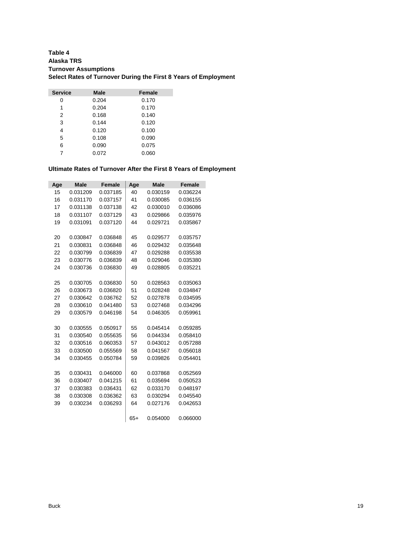#### **Table 4 Alaska TRS Turnover Assumptions Select Rates of Turnover During the First 8 Years of Employment**

| <b>Service</b> | <b>Male</b> | <b>Female</b> |
|----------------|-------------|---------------|
| 0              | 0.204       | 0.170         |
| 1              | 0.204       | 0.170         |
| 2              | 0.168       | 0.140         |
| 3              | 0.144       | 0.120         |
| 4              | 0.120       | 0.100         |
| 5              | 0.108       | 0.090         |
| 6              | 0.090       | 0.075         |
| 7              | 0.072       | 0.060         |

#### **Ultimate Rates of Turnover After the First 8 Years of Employment**

| Age | <b>Male</b> | <b>Female</b> | Age   | <b>Male</b> | <b>Female</b> |
|-----|-------------|---------------|-------|-------------|---------------|
| 15  | 0.031209    | 0.037185      | 40    | 0.030159    | 0.036224      |
| 16  | 0.031170    | 0.037157      | 41    | 0.030085    | 0.036155      |
| 17  | 0.031138    | 0.037138      | 42    | 0.030010    | 0.036086      |
| 18  | 0.031107    | 0.037129      | 43    | 0.029866    | 0.035976      |
| 19  | 0.031091    | 0.037120      | 44    | 0.029721    | 0.035867      |
|     |             |               |       |             |               |
| 20  | 0.030847    | 0.036848      | 45    | 0.029577    | 0.035757      |
| 21  | 0.030831    | 0.036848      | 46    | 0.029432    | 0.035648      |
| 22  | 0.030799    | 0.036839      | 47    | 0.029288    | 0.035538      |
| 23  | 0.030776    | 0.036839      | 48    | 0.029046    | 0.035380      |
| 24  | 0.030736    | 0.036830      | 49    | 0.028805    | 0.035221      |
|     |             |               |       |             |               |
| 25  | 0.030705    | 0.036830      | 50    | 0.028563    | 0.035063      |
| 26  | 0.030673    | 0.036820      | 51    | 0.028248    | 0.034847      |
| 27  | 0.030642    | 0.036762      | 52    | 0.027878    | 0.034595      |
| 28  | 0.030610    | 0.041480      | 53    | 0.027468    | 0.034296      |
| 29  | 0.030579    | 0.046198      | 54    | 0.046305    | 0.059961      |
|     |             |               |       |             |               |
| 30  | 0.030555    | 0.050917      | 55    | 0.045414    | 0.059285      |
| 31  | 0.030540    | 0.055635      | 56    | 0.044334    | 0.058410      |
| 32  | 0.030516    | 0.060353      | 57    | 0.043012    | 0.057288      |
| 33  | 0.030500    | 0.055569      | 58    | 0.041567    | 0.056018      |
| 34  | 0.030455    | 0.050784      | 59    | 0.039826    | 0.054401      |
|     |             |               |       |             |               |
| 35  | 0.030431    | 0.046000      | 60    | 0.037868    | 0.052569      |
| 36  | 0.030407    | 0.041215      | 61    | 0.035694    | 0.050523      |
| 37  | 0.030383    | 0.036431      | 62    | 0.033170    | 0.048197      |
| 38  | 0.030308    | 0.036362      | 63    | 0.030294    | 0.045540      |
| 39  | 0.030234    | 0.036293      | 64    | 0.027176    | 0.042653      |
|     |             |               |       |             |               |
|     |             |               | $65+$ | 0.054000    | 0.066000      |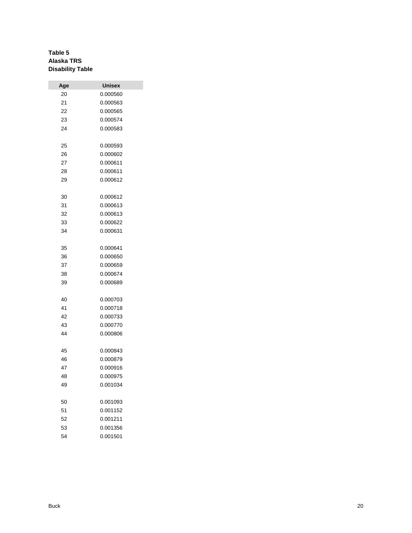### **Table 5 Alaska TRS Disability Table**

| Age | Unisex   |
|-----|----------|
| 20  | 0.000560 |
| 21  | 0.000563 |
| 22  | 0.000565 |
| 23  | 0.000574 |
| 24  | 0.000583 |
|     |          |
| 25  | 0.000593 |
| 26  | 0.000602 |
| 27  | 0.000611 |
| 28  | 0.000611 |
| 29  | 0.000612 |
|     |          |
| 30  | 0.000612 |
| 31  | 0.000613 |
| 32  | 0.000613 |
| 33  | 0.000622 |
| 34  | 0.000631 |
|     |          |
| 35  | 0.000641 |
| 36  | 0.000650 |
| 37  | 0.000659 |
| 38  | 0.000674 |
| 39  | 0.000689 |
|     |          |
| 40  | 0.000703 |
| 41  | 0.000718 |
| 42  | 0.000733 |
| 43  | 0.000770 |
| 44  | 0.000806 |
|     |          |
| 45  | 0.000843 |
| 46  | 0.000879 |
| 47  | 0.000916 |
| 48  | 0.000975 |
| 49  | 0.001034 |
|     |          |
| 50  | 0.001093 |
| 51  | 0.001152 |
| 52  | 0.001211 |
| 53  | 0.001356 |
| 54  | 0.001501 |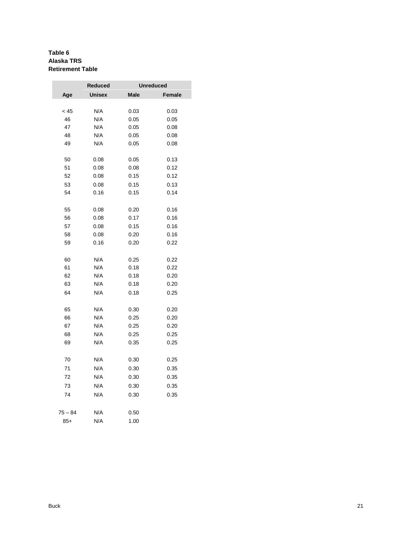#### **Table 6 Alaska TRS Retirement Table**

|           | Reduced       |             | <b>Unreduced</b> |
|-----------|---------------|-------------|------------------|
| Age       | <b>Unisex</b> | <b>Male</b> | <b>Female</b>    |
|           |               |             |                  |
| < 45      | N/A           | 0.03        | 0.03             |
| 46        | N/A           | 0.05        | 0.05             |
| 47        | N/A           | 0.05        | 0.08             |
| 48        | N/A           | 0.05        | 0.08             |
| 49        | N/A           | 0.05        | 0.08             |
| 50        | 0.08          | 0.05        | 0.13             |
| 51        | 0.08          | 0.08        | 0.12             |
| 52        | 0.08          | 0.15        | 0.12             |
| 53        | 0.08          | 0.15        | 0.13             |
| 54        | 0.16          | 0.15        | 0.14             |
| 55        |               | 0.20        | 0.16             |
| 56        | 0.08<br>0.08  | 0.17        | 0.16             |
|           |               |             |                  |
| 57        | 0.08          | 0.15        | 0.16             |
| 58        | 0.08          | 0.20        | 0.16             |
| 59        | 0.16          | 0.20        | 0.22             |
| 60        | N/A           | 0.25        | 0.22             |
| 61        | N/A           | 0.18        | 0.22             |
| 62        | N/A           | 0.18        | 0.20             |
| 63        | N/A           | 0.18        | 0.20             |
| 64        | N/A           | 0.18        | 0.25             |
| 65        | N/A           | 0.30        | 0.20             |
| 66        | N/A           | 0.25        | 0.20             |
| 67        | N/A           | 0.25        | 0.20             |
| 68        | N/A           | 0.25        | 0.25             |
| 69        | N/A           | 0.35        | 0.25             |
|           |               |             |                  |
| 70        | N/A           | 0.30        | 0.25             |
| 71        | N/A           | 0.30        | 0.35             |
| 72        | N/A           | 0.30        | 0.35             |
| 73        | N/A           | 0.30        | 0.35             |
| 74        | N/A           | 0.30        | 0.35             |
|           |               |             |                  |
| $75 - 84$ | N/A           | 0.50        |                  |
| $85+$     | N/A           | 1.00        |                  |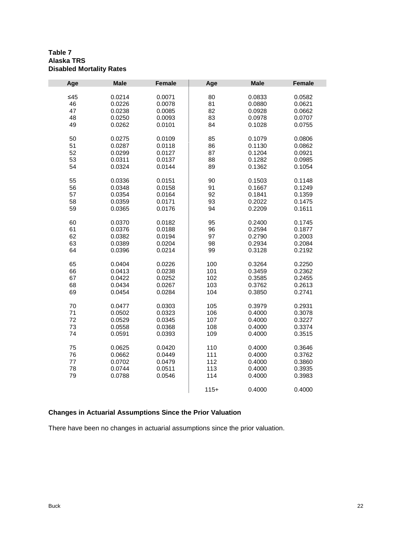#### **Table 7 Alaska TRS Disabled Mortality Rates**

| Age   | <b>Male</b> | <b>Female</b> | Age    | <b>Male</b> | <b>Female</b> |
|-------|-------------|---------------|--------|-------------|---------------|
| $≤45$ | 0.0214      | 0.0071        | 80     | 0.0833      | 0.0582        |
| 46    | 0.0226      | 0.0078        | 81     | 0.0880      | 0.0621        |
| 47    | 0.0238      | 0.0085        | 82     | 0.0928      | 0.0662        |
| 48    | 0.0250      | 0.0093        | 83     | 0.0978      | 0.0707        |
|       |             |               |        |             |               |
| 49    | 0.0262      | 0.0101        | 84     | 0.1028      | 0.0755        |
| 50    | 0.0275      | 0.0109        | 85     | 0.1079      | 0.0806        |
| 51    | 0.0287      | 0.0118        | 86     | 0.1130      | 0.0862        |
| 52    | 0.0299      | 0.0127        | 87     | 0.1204      | 0.0921        |
| 53    | 0.0311      | 0.0137        | 88     | 0.1282      | 0.0985        |
| 54    | 0.0324      | 0.0144        | 89     | 0.1362      | 0.1054        |
| 55    | 0.0336      | 0.0151        | 90     | 0.1503      | 0.1148        |
| 56    | 0.0348      | 0.0158        | 91     | 0.1667      | 0.1249        |
| 57    | 0.0354      | 0.0164        | 92     | 0.1841      | 0.1359        |
| 58    | 0.0359      | 0.0171        | 93     | 0.2022      | 0.1475        |
| 59    | 0.0365      | 0.0176        | 94     | 0.2209      | 0.1611        |
|       |             |               |        |             |               |
| 60    | 0.0370      | 0.0182        | 95     | 0.2400      | 0.1745        |
| 61    | 0.0376      | 0.0188        | 96     | 0.2594      | 0.1877        |
| 62    | 0.0382      | 0.0194        | 97     | 0.2790      | 0.2003        |
| 63    | 0.0389      | 0.0204        | 98     | 0.2934      | 0.2084        |
| 64    | 0.0396      | 0.0214        | 99     | 0.3128      | 0.2192        |
| 65    | 0.0404      | 0.0226        | 100    | 0.3264      | 0.2250        |
| 66    | 0.0413      | 0.0238        | 101    | 0.3459      | 0.2362        |
| 67    | 0.0422      | 0.0252        | 102    | 0.3585      | 0.2455        |
| 68    | 0.0434      | 0.0267        | 103    | 0.3762      | 0.2613        |
| 69    | 0.0454      | 0.0284        | 104    | 0.3850      | 0.2741        |
|       |             |               |        |             |               |
| 70    | 0.0477      | 0.0303        | 105    | 0.3979      | 0.2931        |
| 71    | 0.0502      | 0.0323        | 106    | 0.4000      | 0.3078        |
| 72    | 0.0529      | 0.0345        | 107    | 0.4000      | 0.3227        |
| 73    | 0.0558      | 0.0368        | 108    | 0.4000      | 0.3374        |
| 74    | 0.0591      | 0.0393        | 109    | 0.4000      | 0.3515        |
| 75    | 0.0625      | 0.0420        | 110    | 0.4000      | 0.3646        |
| 76    | 0.0662      | 0.0449        | 111    | 0.4000      | 0.3762        |
| 77    | 0.0702      | 0.0479        | 112    | 0.4000      | 0.3860        |
| 78    | 0.0744      | 0.0511        | 113    | 0.4000      | 0.3935        |
| 79    | 0.0788      | 0.0546        | 114    | 0.4000      | 0.3983        |
|       |             |               | $115+$ | 0.4000      | 0.4000        |

## **Changes in Actuarial Assumptions Since the Prior Valuation**

There have been no changes in actuarial assumptions since the prior valuation.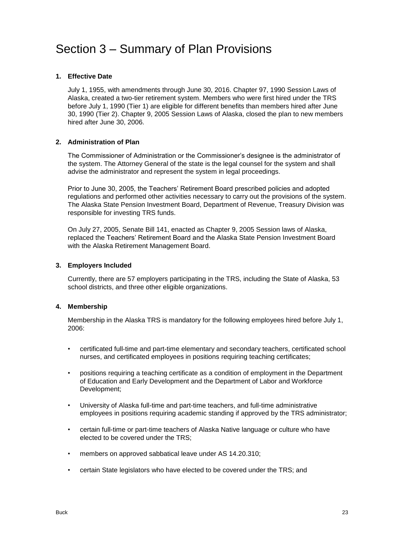## <span id="page-26-0"></span>Section 3 – Summary of Plan Provisions

#### **1. Effective Date**

July 1, 1955, with amendments through June 30, 2016. Chapter 97, 1990 Session Laws of Alaska, created a two-tier retirement system. Members who were first hired under the TRS before July 1, 1990 (Tier 1) are eligible for different benefits than members hired after June 30, 1990 (Tier 2). Chapter 9, 2005 Session Laws of Alaska, closed the plan to new members hired after June 30, 2006.

#### **2. Administration of Plan**

The Commissioner of Administration or the Commissioner's designee is the administrator of the system. The Attorney General of the state is the legal counsel for the system and shall advise the administrator and represent the system in legal proceedings.

Prior to June 30, 2005, the Teachers' Retirement Board prescribed policies and adopted regulations and performed other activities necessary to carry out the provisions of the system. The Alaska State Pension Investment Board, Department of Revenue, Treasury Division was responsible for investing TRS funds.

On July 27, 2005, Senate Bill 141, enacted as Chapter 9, 2005 Session laws of Alaska, replaced the Teachers' Retirement Board and the Alaska State Pension Investment Board with the Alaska Retirement Management Board.

#### **3. Employers Included**

Currently, there are 57 employers participating in the TRS, including the State of Alaska, 53 school districts, and three other eligible organizations.

#### **4. Membership**

Membership in the Alaska TRS is mandatory for the following employees hired before July 1, 2006:

- certificated full-time and part-time elementary and secondary teachers, certificated school nurses, and certificated employees in positions requiring teaching certificates;
- positions requiring a teaching certificate as a condition of employment in the Department of Education and Early Development and the Department of Labor and Workforce Development;
- University of Alaska full-time and part-time teachers, and full-time administrative employees in positions requiring academic standing if approved by the TRS administrator;
- certain full-time or part-time teachers of Alaska Native language or culture who have elected to be covered under the TRS;
- members on approved sabbatical leave under AS 14.20.310;
- certain State legislators who have elected to be covered under the TRS; and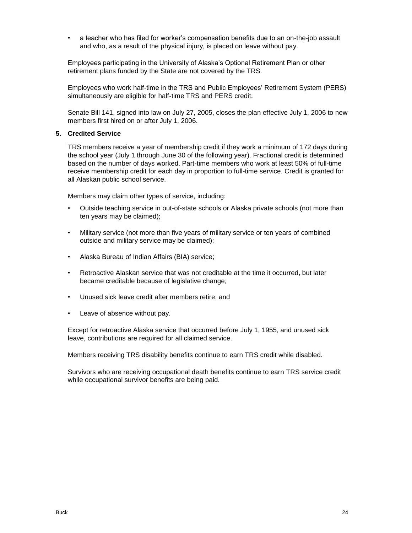• a teacher who has filed for worker's compensation benefits due to an on-the-job assault and who, as a result of the physical injury, is placed on leave without pay.

Employees participating in the University of Alaska's Optional Retirement Plan or other retirement plans funded by the State are not covered by the TRS.

Employees who work half-time in the TRS and Public Employees' Retirement System (PERS) simultaneously are eligible for half-time TRS and PERS credit.

Senate Bill 141, signed into law on July 27, 2005, closes the plan effective July 1, 2006 to new members first hired on or after July 1, 2006.

#### **5. Credited Service**

TRS members receive a year of membership credit if they work a minimum of 172 days during the school year (July 1 through June 30 of the following year). Fractional credit is determined based on the number of days worked. Part-time members who work at least 50% of full-time receive membership credit for each day in proportion to full-time service. Credit is granted for all Alaskan public school service.

Members may claim other types of service, including:

- Outside teaching service in out-of-state schools or Alaska private schools (not more than ten years may be claimed);
- Military service (not more than five years of military service or ten years of combined outside and military service may be claimed);
- Alaska Bureau of Indian Affairs (BIA) service;
- Retroactive Alaskan service that was not creditable at the time it occurred, but later became creditable because of legislative change;
- Unused sick leave credit after members retire; and
- Leave of absence without pay.

Except for retroactive Alaska service that occurred before July 1, 1955, and unused sick leave, contributions are required for all claimed service.

Members receiving TRS disability benefits continue to earn TRS credit while disabled.

Survivors who are receiving occupational death benefits continue to earn TRS service credit while occupational survivor benefits are being paid.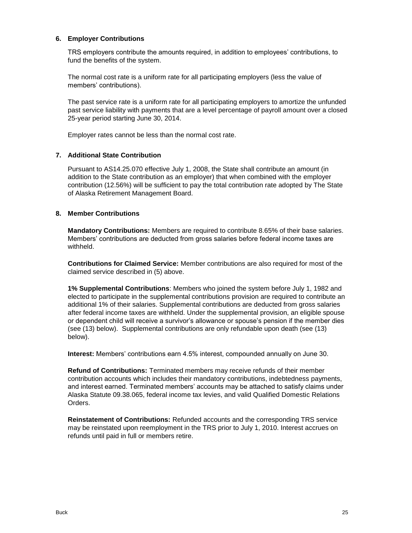#### **6. Employer Contributions**

TRS employers contribute the amounts required, in addition to employees' contributions, to fund the benefits of the system.

The normal cost rate is a uniform rate for all participating employers (less the value of members' contributions).

The past service rate is a uniform rate for all participating employers to amortize the unfunded past service liability with payments that are a level percentage of payroll amount over a closed 25-year period starting June 30, 2014.

Employer rates cannot be less than the normal cost rate.

#### **7. Additional State Contribution**

Pursuant to AS14.25.070 effective July 1, 2008, the State shall contribute an amount (in addition to the State contribution as an employer) that when combined with the employer contribution (12.56%) will be sufficient to pay the total contribution rate adopted by The State of Alaska Retirement Management Board.

#### **8. Member Contributions**

**Mandatory Contributions:** Members are required to contribute 8.65% of their base salaries. Members' contributions are deducted from gross salaries before federal income taxes are withheld.

**Contributions for Claimed Service:** Member contributions are also required for most of the claimed service described in (5) above.

**1% Supplemental Contributions**: Members who joined the system before July 1, 1982 and elected to participate in the supplemental contributions provision are required to contribute an additional 1% of their salaries. Supplemental contributions are deducted from gross salaries after federal income taxes are withheld. Under the supplemental provision, an eligible spouse or dependent child will receive a survivor's allowance or spouse's pension if the member dies (see (13) below). Supplemental contributions are only refundable upon death (see (13) below).

**Interest:** Members' contributions earn 4.5% interest, compounded annually on June 30.

**Refund of Contributions:** Terminated members may receive refunds of their member contribution accounts which includes their mandatory contributions, indebtedness payments, and interest earned. Terminated members' accounts may be attached to satisfy claims under Alaska Statute 09.38.065, federal income tax levies, and valid Qualified Domestic Relations Orders.

**Reinstatement of Contributions:** Refunded accounts and the corresponding TRS service may be reinstated upon reemployment in the TRS prior to July 1, 2010. Interest accrues on refunds until paid in full or members retire.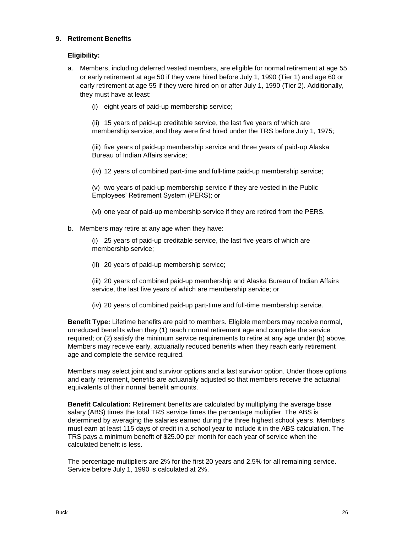#### **9. Retirement Benefits**

#### **Eligibility:**

- a. Members, including deferred vested members, are eligible for normal retirement at age 55 or early retirement at age 50 if they were hired before July 1, 1990 (Tier 1) and age 60 or early retirement at age 55 if they were hired on or after July 1, 1990 (Tier 2). Additionally, they must have at least:
	- (i) eight years of paid-up membership service;

(ii) 15 years of paid-up creditable service, the last five years of which are membership service, and they were first hired under the TRS before July 1, 1975;

(iii) five years of paid-up membership service and three years of paid-up Alaska Bureau of Indian Affairs service;

(iv) 12 years of combined part-time and full-time paid-up membership service;

(v) two years of paid-up membership service if they are vested in the Public Employees' Retirement System (PERS); or

(vi) one year of paid-up membership service if they are retired from the PERS.

b. Members may retire at any age when they have:

(i) 25 years of paid-up creditable service, the last five years of which are membership service;

(ii) 20 years of paid-up membership service;

(iii) 20 years of combined paid-up membership and Alaska Bureau of Indian Affairs service, the last five years of which are membership service; or

(iv) 20 years of combined paid-up part-time and full-time membership service.

**Benefit Type:** Lifetime benefits are paid to members. Eligible members may receive normal, unreduced benefits when they (1) reach normal retirement age and complete the service required; or (2) satisfy the minimum service requirements to retire at any age under (b) above. Members may receive early, actuarially reduced benefits when they reach early retirement age and complete the service required.

Members may select joint and survivor options and a last survivor option. Under those options and early retirement, benefits are actuarially adjusted so that members receive the actuarial equivalents of their normal benefit amounts.

**Benefit Calculation:** Retirement benefits are calculated by multiplying the average base salary (ABS) times the total TRS service times the percentage multiplier. The ABS is determined by averaging the salaries earned during the three highest school years. Members must earn at least 115 days of credit in a school year to include it in the ABS calculation. The TRS pays a minimum benefit of \$25.00 per month for each year of service when the calculated benefit is less.

The percentage multipliers are 2% for the first 20 years and 2.5% for all remaining service. Service before July 1, 1990 is calculated at 2%.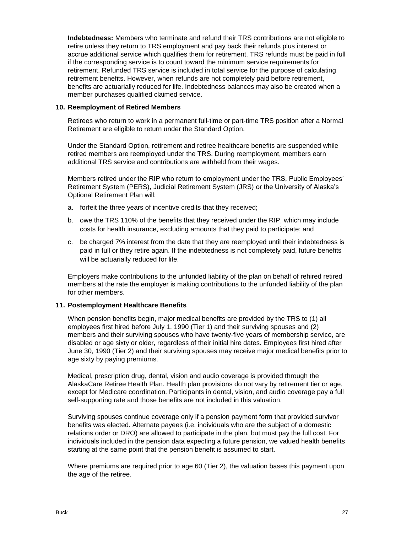**Indebtedness:** Members who terminate and refund their TRS contributions are not eligible to retire unless they return to TRS employment and pay back their refunds plus interest or accrue additional service which qualifies them for retirement. TRS refunds must be paid in full if the corresponding service is to count toward the minimum service requirements for retirement. Refunded TRS service is included in total service for the purpose of calculating retirement benefits. However, when refunds are not completely paid before retirement, benefits are actuarially reduced for life. Indebtedness balances may also be created when a member purchases qualified claimed service.

#### **10. Reemployment of Retired Members**

Retirees who return to work in a permanent full-time or part-time TRS position after a Normal Retirement are eligible to return under the Standard Option.

Under the Standard Option, retirement and retiree healthcare benefits are suspended while retired members are reemployed under the TRS. During reemployment, members earn additional TRS service and contributions are withheld from their wages.

Members retired under the RIP who return to employment under the TRS, Public Employees' Retirement System (PERS), Judicial Retirement System (JRS) or the University of Alaska's Optional Retirement Plan will:

- a. forfeit the three years of incentive credits that they received;
- b. owe the TRS 110% of the benefits that they received under the RIP, which may include costs for health insurance, excluding amounts that they paid to participate; and
- c. be charged 7% interest from the date that they are reemployed until their indebtedness is paid in full or they retire again. If the indebtedness is not completely paid, future benefits will be actuarially reduced for life.

Employers make contributions to the unfunded liability of the plan on behalf of rehired retired members at the rate the employer is making contributions to the unfunded liability of the plan for other members.

#### **11. Postemployment Healthcare Benefits**

When pension benefits begin, major medical benefits are provided by the TRS to (1) all employees first hired before July 1, 1990 (Tier 1) and their surviving spouses and (2) members and their surviving spouses who have twenty-five years of membership service, are disabled or age sixty or older, regardless of their initial hire dates. Employees first hired after June 30, 1990 (Tier 2) and their surviving spouses may receive major medical benefits prior to age sixty by paying premiums.

Medical, prescription drug, dental, vision and audio coverage is provided through the AlaskaCare Retiree Health Plan. Health plan provisions do not vary by retirement tier or age, except for Medicare coordination. Participants in dental, vision, and audio coverage pay a full self-supporting rate and those benefits are not included in this valuation.

Surviving spouses continue coverage only if a pension payment form that provided survivor benefits was elected. Alternate payees (i.e. individuals who are the subject of a domestic relations order or DRO) are allowed to participate in the plan, but must pay the full cost. For individuals included in the pension data expecting a future pension, we valued health benefits starting at the same point that the pension benefit is assumed to start.

Where premiums are required prior to age 60 (Tier 2), the valuation bases this payment upon the age of the retiree.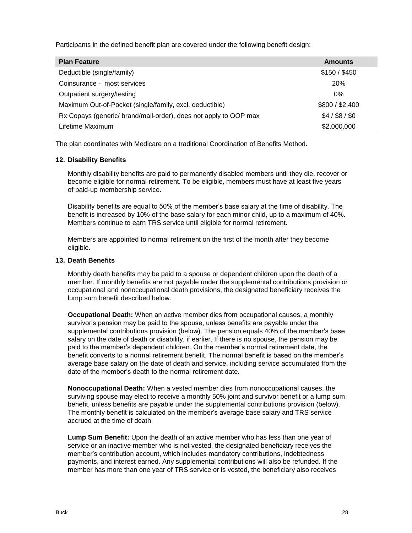Participants in the defined benefit plan are covered under the following benefit design:

| <b>Plan Feature</b>                                              | <b>Amounts</b>  |
|------------------------------------------------------------------|-----------------|
| Deductible (single/family)                                       | \$150 / \$450   |
| Coinsurance - most services                                      | 20%             |
| Outpatient surgery/testing                                       | $0\%$           |
| Maximum Out-of-Pocket (single/family, excl. deductible)          | \$800 / \$2,400 |
| Rx Copays (generic/ brand/mail-order), does not apply to OOP max | $$4/$ \$8/\$0   |
| Lifetime Maximum                                                 | \$2,000,000     |

The plan coordinates with Medicare on a traditional Coordination of Benefits Method.

#### **12. Disability Benefits**

Monthly disability benefits are paid to permanently disabled members until they die, recover or become eligible for normal retirement. To be eligible, members must have at least five years of paid-up membership service.

Disability benefits are equal to 50% of the member's base salary at the time of disability. The benefit is increased by 10% of the base salary for each minor child, up to a maximum of 40%. Members continue to earn TRS service until eligible for normal retirement.

Members are appointed to normal retirement on the first of the month after they become eligible.

#### **13. Death Benefits**

Monthly death benefits may be paid to a spouse or dependent children upon the death of a member. If monthly benefits are not payable under the supplemental contributions provision or occupational and nonoccupational death provisions, the designated beneficiary receives the lump sum benefit described below.

**Occupational Death:** When an active member dies from occupational causes, a monthly survivor's pension may be paid to the spouse, unless benefits are payable under the supplemental contributions provision (below). The pension equals 40% of the member's base salary on the date of death or disability, if earlier. If there is no spouse, the pension may be paid to the member's dependent children. On the member's normal retirement date, the benefit converts to a normal retirement benefit. The normal benefit is based on the member's average base salary on the date of death and service, including service accumulated from the date of the member's death to the normal retirement date.

**Nonoccupational Death:** When a vested member dies from nonoccupational causes, the surviving spouse may elect to receive a monthly 50% joint and survivor benefit or a lump sum benefit, unless benefits are payable under the supplemental contributions provision (below). The monthly benefit is calculated on the member's average base salary and TRS service accrued at the time of death.

**Lump Sum Benefit:** Upon the death of an active member who has less than one year of service or an inactive member who is not vested, the designated beneficiary receives the member's contribution account, which includes mandatory contributions, indebtedness payments, and interest earned. Any supplemental contributions will also be refunded. If the member has more than one year of TRS service or is vested, the beneficiary also receives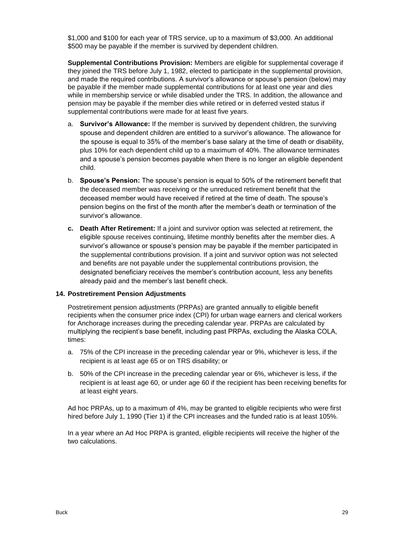\$1,000 and \$100 for each year of TRS service, up to a maximum of \$3,000. An additional \$500 may be payable if the member is survived by dependent children.

**Supplemental Contributions Provision:** Members are eligible for supplemental coverage if they joined the TRS before July 1, 1982, elected to participate in the supplemental provision, and made the required contributions. A survivor's allowance or spouse's pension (below) may be payable if the member made supplemental contributions for at least one year and dies while in membership service or while disabled under the TRS. In addition, the allowance and pension may be payable if the member dies while retired or in deferred vested status if supplemental contributions were made for at least five years.

- a. **Survivor's Allowance:** If the member is survived by dependent children, the surviving spouse and dependent children are entitled to a survivor's allowance. The allowance for the spouse is equal to 35% of the member's base salary at the time of death or disability, plus 10% for each dependent child up to a maximum of 40%. The allowance terminates and a spouse's pension becomes payable when there is no longer an eligible dependent child.
- b. **Spouse's Pension:** The spouse's pension is equal to 50% of the retirement benefit that the deceased member was receiving or the unreduced retirement benefit that the deceased member would have received if retired at the time of death. The spouse's pension begins on the first of the month after the member's death or termination of the survivor's allowance.
- **c. Death After Retirement:** If a joint and survivor option was selected at retirement, the eligible spouse receives continuing, lifetime monthly benefits after the member dies. A survivor's allowance or spouse's pension may be payable if the member participated in the supplemental contributions provision. If a joint and survivor option was not selected and benefits are not payable under the supplemental contributions provision, the designated beneficiary receives the member's contribution account, less any benefits already paid and the member's last benefit check.

#### **14. Postretirement Pension Adjustments**

Postretirement pension adjustments (PRPAs) are granted annually to eligible benefit recipients when the consumer price index (CPI) for urban wage earners and clerical workers for Anchorage increases during the preceding calendar year. PRPAs are calculated by multiplying the recipient's base benefit, including past PRPAs, excluding the Alaska COLA, times:

- a. 75% of the CPI increase in the preceding calendar year or 9%, whichever is less, if the recipient is at least age 65 or on TRS disability; or
- b. 50% of the CPI increase in the preceding calendar year or 6%, whichever is less, if the recipient is at least age 60, or under age 60 if the recipient has been receiving benefits for at least eight years.

Ad hoc PRPAs, up to a maximum of 4%, may be granted to eligible recipients who were first hired before July 1, 1990 (Tier 1) if the CPI increases and the funded ratio is at least 105%.

In a year where an Ad Hoc PRPA is granted, eligible recipients will receive the higher of the two calculations.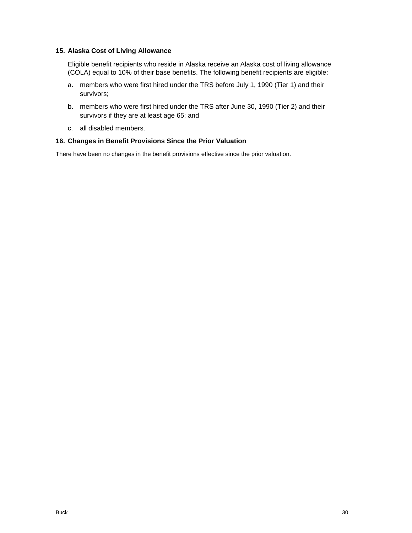#### **15. Alaska Cost of Living Allowance**

Eligible benefit recipients who reside in Alaska receive an Alaska cost of living allowance (COLA) equal to 10% of their base benefits. The following benefit recipients are eligible:

- a. members who were first hired under the TRS before July 1, 1990 (Tier 1) and their survivors;
- b. members who were first hired under the TRS after June 30, 1990 (Tier 2) and their survivors if they are at least age 65; and
- c. all disabled members.

#### **16. Changes in Benefit Provisions Since the Prior Valuation**

There have been no changes in the benefit provisions effective since the prior valuation.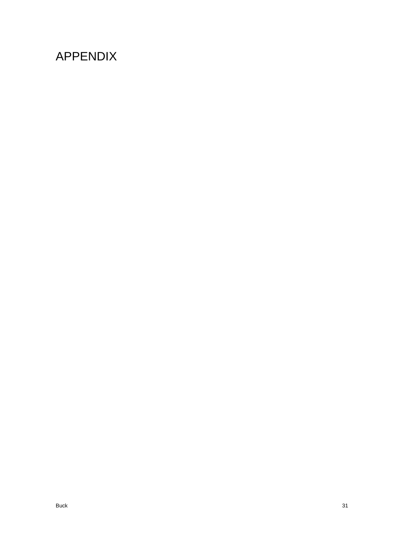# <span id="page-34-0"></span>APPENDIX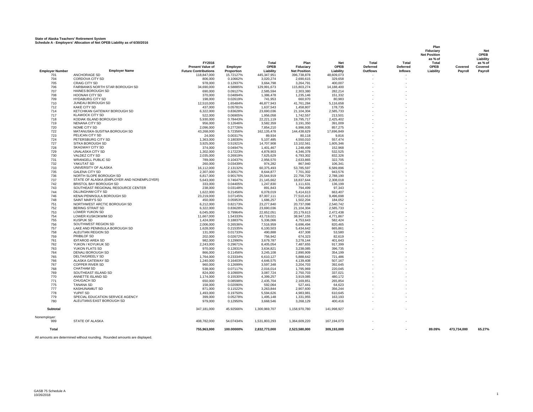#### **State of Alaska Teachers' Retirement System Schedule A - Employers' Allocation of Net OPEB Liability as of 6/30/2016**

|                        |                                                       |                             |                      |                          |                          |                       |                 |                | Plan<br>Fiduciary<br><b>Net Position</b><br>as % of |             | <b>Net</b><br><b>OPEB</b><br>Liability |
|------------------------|-------------------------------------------------------|-----------------------------|----------------------|--------------------------|--------------------------|-----------------------|-----------------|----------------|-----------------------------------------------------|-------------|----------------------------------------|
|                        |                                                       | FY2016                      |                      | Total                    | Plan                     | Net                   | Total           | Total          | Total                                               |             | as % of                                |
|                        |                                                       | <b>Present Value of</b>     | Employer             | <b>OPEB</b>              | Fiduciary                | <b>OPEB</b>           | <b>Deferred</b> | Deferred       | <b>OPEB</b>                                         | Covered     | Covered                                |
| <b>Employer Number</b> | <b>Employer Name</b>                                  | <b>Future Contributions</b> | Proportion           | Liability                | <b>Net Position</b>      | Liability             | Outflows        | <b>Inflows</b> | Liability                                           | Payroll     | Payroll                                |
| 701                    | <b>ANCHORAGE SD</b>                                   | 118.847.000                 | 15.72127%            | 445.347.951              | 396.738.878              | 48.609.073            |                 |                |                                                     |             |                                        |
| 704                    | CORDOVA CITY SD                                       | 806,000                     | 0.10662%             | 3,020,274                | 2,690,615                | 329,658               |                 |                |                                                     |             |                                        |
| 705                    | CRAIG CITY SD<br>FAIRBANKS NORTH STAR BOROUGH SD      | 978,000                     | 0.12937%             | 3,664,798                | 3,264,791                | 400,007               |                 |                |                                                     |             |                                        |
| 706<br>707             | <b>HAINES BOROUGH SD</b>                              | 34,690,000<br>690,000       | 4.58885%<br>0.09127% | 129,991,673<br>2,585,594 | 115,803,274<br>2,303,380 | 14,188,400<br>282,214 |                 |                |                                                     |             |                                        |
| 708                    | HOONAH CITY SD                                        | 370,000                     | 0.04894%             | 1,386,478                | 1,235,146                | 151,332               |                 |                |                                                     |             |                                        |
| 709                    | <b>HYDABURG CITY SD</b>                               | 198,000                     | 0.02619%             | 741,953                  | 660,970                  | 80,983                |                 |                |                                                     |             |                                        |
| 710                    | JUNEAU BOROUGH SD                                     | 12,510,000                  | 1.65484%             | 46,877,943               | 41,761,284               | 5,116,658             |                 |                |                                                     |             |                                        |
| 712                    | KAKE CITY SD                                          | 437,000                     | 0.05781%             | 1,637,543                | 1,458,807                | 178,735               |                 |                |                                                     |             |                                        |
| 714                    | KETCHIKAN GATEWAY BOROUGH SD                          | 6,322,000                   | 0.83628%             | 23.690.036               | 21,104,304               | 2.585.733             |                 |                |                                                     |             |                                        |
| 717                    | <b>KLAWOCK CITY SD</b>                                | 522,000                     | 0.06905%             | 1,956,058                | 1,742,557                | 213,501               |                 |                |                                                     |             |                                        |
| 718                    | KODIAK ISLAND BOROUGH SD                              | 5,930,000                   | 0.78443%             | 22.221.119               | 19,795,717               | 2,425,402             |                 |                |                                                     |             |                                        |
| 719<br>720             | NENANA CITY SD<br>NOME CITY SD                        | 956,000<br>2,096,000        | 0.12646%<br>0.27726% | 3,582,359<br>7,854,210   | 3,191,350<br>6,996,935   | 391,009<br>857,275    |                 |                |                                                     |             |                                        |
| 722                    | MATANUSKA-SUSITNA BOROUGH SD                          | 43.268.000                  | 5.72356%             | 162, 135, 478            | 144,438,629              | 17,696,849            |                 |                |                                                     |             |                                        |
| 723                    | PELICAN CITY SD                                       | 24,000                      | 0.00317%             | 89,934                   | 80,118                   | 9,816                 |                 |                |                                                     |             |                                        |
| 724                    | PETERSBURG CITY SD                                    | 1,363,000                   | 0.18030%             | 5.107.485                | 4.550.010                | 557.474               |                 |                |                                                     |             |                                        |
| 727                    | SITKA BOROUGH SD                                      | 3,925,000                   | 0.51921%             | 14,707,908               | 13,102,561               | 1,605,346             |                 |                |                                                     |             |                                        |
| 728                    | SKAGWAY CITY SD                                       | 374,000                     | 0.04947%             | 1,401,467                | 1,248,499                | 152,968               |                 |                |                                                     |             |                                        |
| 729                    | UNALASKA CITY SD                                      | 1,302,000                   | 0.17223%             | 4,878,903                | 4,346,378                | 532,525               |                 |                |                                                     |             |                                        |
| 730                    | VALDEZ CITY SD                                        | 2,035,000                   | 0.26919%             | 7,625,629                | 6,793,302                | 832,326               |                 |                |                                                     |             |                                        |
| 731                    | <b>WRANGELL PUBLIC SD</b><br>YAKUTAT SD               | 789,000                     | 0.10437%             | 2,956,570                | 2,633,865                | 322,705               |                 |                |                                                     |             |                                        |
| 732<br>733             | UNIVERSITY OF ALASKA                                  | 260,000<br>16,112,000       | 0.03439%<br>2.13132% | 974,282<br>60,375,493    | 867,940<br>53,785,597    | 106,341<br>6,589,896  |                 |                |                                                     |             |                                        |
| 735                    | <b>GALENA CITY SD</b>                                 | 2,307,000                   | 0.30517%             | 8,644,877                | 7,701,302                | 943,576               |                 |                |                                                     |             |                                        |
| 736                    | NORTH SLOPE BOROUGH SD                                | 6,817,000                   | 0.90176%             | 25,544,919               | 22,756,729               | 2,788,190             |                 |                |                                                     |             |                                        |
| 737                    | STATE OF ALASKA (EMPLOYER AND NONEMPLOYER)            | 5.643.000                   | 0.74647%             | 21,145,662               | 18,837,644               | 2.308.018             |                 |                |                                                     |             |                                        |
| 742                    | <b>BRISTOL BAY BOROUGH SD</b>                         | 333,000                     | 0.04405%             | 1,247,830                | 1,111,631                | 136.199               |                 |                |                                                     |             |                                        |
| 743                    | SOUTHEAST REGIONAL RESOURCE CENTER                    | 238,000                     | 0.03148%             | 891,843                  | 794,499                  | 97,343                |                 |                |                                                     |             |                                        |
| 744                    | DILLINGHAM CITY SD                                    | 1,622,000                   | 0.21456%             | 6,078,019                | 5,414,613                | 663,407               |                 |                |                                                     |             |                                        |
| 746                    | KENAI PENINSULA BOROUGH SD                            | 23,219,000                  | 3.07145%             | 87,007,111               | 77,510,413               | 9,496,698             |                 |                |                                                     |             |                                        |
| 748<br>751             | <b>SAINT MARY'S SD</b><br>NORTHWEST ARCTIC BOROUGH SD | 450.000<br>6,212,000        | 0.05953%<br>0.82173% | 1.686.257<br>23.277.840  | 1.502.204<br>20,737,098  | 184.052<br>2.540.742  |                 |                |                                                     |             |                                        |
| 752                    | <b>BERING STRAIT SD</b>                               | 6,322,000                   | 0.83628%             | 23,690,036               | 21,104,304               | 2,585,733             |                 |                |                                                     |             |                                        |
| 753                    | LOWER YUKON SD                                        | 6,045,000                   | 0.79964%             | 22,652,051               | 20,179,613               | 2,472,438             |                 |                |                                                     |             |                                        |
| 754                    | LOWER KUSKOKWIM SD                                    | 11,667,000                  | 1.54333%             | 43,719,021               | 38,947,155               | 4,771,867             |                 |                |                                                     |             |                                        |
| 755                    | <b>KUSPUK SD</b>                                      | 1.424.000                   | 0.18837%             | 5.336.066                | 4.753.643                | 582.424               |                 |                |                                                     |             |                                        |
| 756                    | SOUTHWEST REGION SD                                   | 2,006,000                   | 0.26536%             | 7.516.959                | 6.696.494                | 820.465               |                 |                |                                                     |             |                                        |
| 757                    | LAKE AND PENINSULA BOROUGH SD                         | 1,628,000                   | 0.21535%             | 6,100,503                | 5,434,642                | 665,861               |                 |                |                                                     |             |                                        |
| 758                    | ALEUTIAN REGION SD                                    | 131,000                     | 0.01733%             | 490,888                  | 437,308                  | 53,580                |                 |                |                                                     |             |                                        |
| 759<br>761             | PRIBILOF SD<br><b>IDITAROD AREA SD</b>                | 202,000<br>982.000          | 0.02672%<br>0.12990% | 756,942<br>3.679.787     | 674,323<br>3,278,144     | 82,619<br>401.643     |                 |                |                                                     |             |                                        |
| 762                    | YUKON / KOYUKUK SD                                    | 2,243,000                   | 0.29671%             | 8,405,054                | 7,487,655                | 917,399               |                 |                |                                                     |             |                                        |
| 763                    | YUKON FLATS SD                                        | 970,000                     | 0.12831%             | 3,634,821                | 3,238,085                | 396,735               |                 |                |                                                     |             |                                        |
| 764                    | DENALI BOROUGH SD                                     | 866,000                     | 0.11456%             | 3,245,108                | 2,890,909                | 354,199               |                 |                |                                                     |             |                                        |
| 765                    | DELTA/GREELY SD                                       | 1,764,000                   | 0.23334%             | 6,610,127                | 5,888,642                | 721,486               |                 |                |                                                     |             |                                        |
| 766                    | ALASKA GATEWAY SD                                     | 1.240.000                   | 0.16403%             | 4.646.575                | 4.139.408                | 507.167               |                 |                |                                                     |             |                                        |
| 767                    | COPPER RIVER SD                                       | 960,000                     | 0.12699%             | 3,597,348                | 3,204,703                | 392.645               |                 |                |                                                     |             |                                        |
| 768                    | <b>CHATHAM SD</b>                                     | 538,000                     | 0.07117%             | 2,016,014                | 1,795,969                | 220,045               |                 |                |                                                     |             |                                        |
| 769                    | SOUTHEAST ISLAND SD                                   | 824,000                     | 0.10900%             | 3,087,724                | 2,750,703                | 337,021               |                 |                |                                                     |             |                                        |
| 770<br>771             | ANNETTE ISLAND SD<br>CHUGACH SD                       | 1,174,000<br>650.000        | 0.15530%<br>0.08598% | 4,399,257<br>2.435.704   | 3,919,085<br>2.169.851   | 480.172<br>265.854    |                 |                |                                                     |             |                                        |
| 775                    | <b>TANANA SD</b>                                      | 158,000                     | 0.02090%             | 592,064                  | 527,441                  | 64,623                |                 |                |                                                     |             |                                        |
| 777                    | KASHUNAMIUT SD                                        | 871,000                     | 0.11522%             | 3,263,844                | 2,907,600                | 356,244               |                 |                |                                                     |             |                                        |
| 778                    | YUPIIT SD                                             | 1,493,000                   | 0.19750%             | 5,594,626                | 4,983,981                | 610,645               |                 |                |                                                     |             |                                        |
| 779                    | SPECIAL EDUCATION SERVICE AGENCY                      | 399,000                     | 0.05278%             | 1,495,148                | 1,331,955                | 163.193               |                 |                |                                                     |             |                                        |
| 780                    | ALEUTIANS EAST BOROUGH SD                             | 979,000                     | 0.12950%             | 3,668,546                | 3,268,129                | 400,416               |                 |                |                                                     |             |                                        |
| Subtotal               |                                                       | 347,181,000                 | 45.92566%            | 1,300,969,707            | 1,158,970,780            | 141,998,927           |                 |                |                                                     |             |                                        |
| Nonemployer:<br>999    | STATE OF ALASKA                                       | 408,782,000                 | 54.07434%            | 1,531,803,293            | 1,364,609,220            | 167, 194, 073         |                 |                |                                                     |             |                                        |
| Total                  |                                                       | 755,963,000                 | 100.00000%           | 2,832,773,000            | 2,523,580,000            | 309,193,000           |                 |                | 89.09%                                              | 473,734,000 | 65.27%                                 |

All amounts are determined without rounding. Rounded amounts are displayed.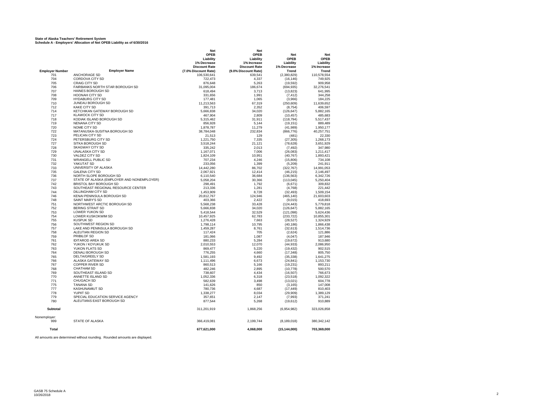#### **State of Alaska Teachers' Retirement System Schedule A - Employers' Allocation of Net OPEB Liability as of 6/30/2016**

|                        |                                            | <b>Net</b>              | <b>Net</b>           |                          |                         |
|------------------------|--------------------------------------------|-------------------------|----------------------|--------------------------|-------------------------|
|                        |                                            | <b>OPEB</b>             | <b>OPEB</b>          | <b>Net</b>               | <b>Net</b>              |
|                        |                                            | Liability               | Liability            | <b>OPEB</b>              | <b>OPEB</b>             |
|                        |                                            | 1% Decrease             | 1% Increase          | Liability                | Liability               |
|                        |                                            | <b>Discount Rate</b>    | <b>Discount Rate</b> | 1% Decrease              | 1% Increase             |
| <b>Employer Number</b> | <b>Employer Name</b>                       | (7.0% Discount Rate)    | (9.0% Discount Rate) | Trend                    | Trend                   |
| 701<br>704             | <b>ANCHORAGE SD</b>                        | 106,530,641             | 639,541              | (2,380,829)              | 110,578,554             |
| 705                    | CORDOVA CITY SD<br>CRAIG CITY SD           | 722,473<br>876,648      | 4,337<br>5,263       | (16, 146)<br>(19, 592)   | 749,925<br>909,958      |
| 706                    | FAIRBANKS NORTH STAR BOROUGH SD            | 31,095,004              | 186,674              | (694, 935)               | 32,276,541              |
| 707                    | HAINES BOROUGH SD                          | 618,494                 | 3,713                | (13, 823)                | 641,995                 |
| 708                    | <b>HOONAH CITY SD</b>                      | 331,656                 | 1.991                | (7, 412)                 | 344,258                 |
| 709                    | <b>HYDABURG CITY SD</b>                    | 177,481                 | 1,065                | (3,966)                  | 184,225                 |
| 710                    | JUNEAU BOROUGH SD                          | 11,213,563              | 67,319               | (250, 609)               | 11,639,652              |
| 712                    | <b>KAKE CITY SD</b>                        | 391,713                 | 2,352                | (8, 754)                 | 406.597                 |
| 714                    | KETCHIKAN GATEWAY BOROUGH SD               | 5,666,838               | 34,020               | (126, 647)               | 5,882,165               |
| 717                    | <b>KLAWOCK CITY SD</b>                     | 467,904                 | 2,809                | (10, 457)                | 485,683                 |
| 718                    | KODIAK ISLAND BOROUGH SD                   | 5,315,462               | 31,911               | (118, 794)               | 5,517,437               |
| 719                    | NENANA CITY SD                             | 856,928                 | 5,144                | (19, 151)                | 889,489                 |
| 720                    | NOME CITY SD                               | 1,878,787               | 11,279               | (41, 989)                | 1,950,177               |
| 722                    | MATANUSKA-SUSITNA BOROUGH SD               | 38,784,048              | 232.834              | (866, 776)               | 40,257,751              |
| 723                    | PELICAN CITY SD                            | 21,513                  | 129                  | (481)                    | 22,330                  |
| 724                    | PETERSBURG CITY SD                         | 1,221,750               | 7,335                | (27, 305)                | 1,268,173               |
| 727                    | SITKA BOROUGH SD                           | 3,518,244               | 21,121               | (78, 628)                | 3,651,929               |
| 728                    | <b>SKAGWAY CITY SD</b>                     | 335,242                 | 2,013                | (7, 492)                 | 347,980                 |
| 729                    | <b>UNALASKA CITY SD</b>                    | 1,167,071               | 7,006                | (26, 083)                | 1,211,417               |
| 730                    | VALDEZ CITY SD                             | 1,824,109               | 10,951               | (40, 767)                | 1,893,421               |
| 731                    | <b>WRANGELL PUBLIC SD</b>                  | 707,234                 | 4,246                | (15,806)                 | 734,108                 |
| 732                    | YAKUTAT SD                                 | 233,056                 | 1,399                | (5,209)                  | 241,911                 |
| 733                    | UNIVERSITY OF ALASKA                       | 14,442,280              | 86,702               | (322, 767)               | 14.991.053              |
| 735                    | <b>GALENA CITY SD</b>                      | 2,067,921               | 12,414               | (46, 215)                | 2,146,497               |
| 736                    | NORTH SLOPE BOROUGH SD                     | 6,110,540               | 36,684               | (136, 563)               | 6,342,726               |
| 737                    | STATE OF ALASKA (EMPLOYER AND NONEMPLOYER) | 5,058,204               | 30,366               | (113, 045)               | 5,250,404               |
| 742                    | BRISTOL BAY BOROUGH SD                     | 298,491                 | 1,792                | (6,671)                  | 309,832                 |
| 743                    | SOUTHEAST REGIONAL RESOURCE CENTER         | 213,336                 | 1,281                | (4,768)                  | 221,442                 |
| 744                    | DILLINGHAM CITY SD                         | 1,453,909               | 8,728                | (32, 493)                | 1,509,154               |
| 746                    | KENAI PENINSULA BOROUGH SD                 | 20,812,767              | 124,946              | (465, 140)               | 21,603,603              |
| 748                    | <b>SAINT MARY'S SD</b>                     | 403,366                 | 2,422                | (9,015)                  | 418,693                 |
| 751                    | NORTHWEST ARCTIC BOROUGH SD                | 5,568,238               | 33.428               | (124, 443)               | 5.779.818               |
| 752<br>753             | <b>BERING STRAIT SD</b>                    | 5,666,838               | 34,020<br>32,529     | (126, 647)<br>(121, 098) | 5.882.165               |
| 754                    | LOWER YUKON SD<br>LOWER KUSKOKWIM SD       | 5,418,544<br>10,457,925 | 62,783               | (233, 722)               | 5,624,436<br>10,855,301 |
| 755                    | <b>KUSPUK SD</b>                           | 1,276,428               | 7,663                | (28, 527)                | 1,324,929               |
| 756                    | SOUTHWEST REGION SD                        | 1,798,114               | 10,795               | (40, 186)                | 1,866,438               |
| 757                    | LAKE AND PENINSULA BOROUGH SD              | 1,459,287               | 8,761                | (32, 613)                | 1,514,736               |
| 758                    | ALEUTIAN REGION SD                         | 117,424                 | 705                  | (2,624)                  | 121,886                 |
| 759                    | <b>PRIBILOF SD</b>                         | 181,066                 | 1,087                | (4,047)                  | 187,946                 |
| 761                    | <b>IDITAROD AREA SD</b>                    | 880,233                 | 5,284                | (19, 672)                | 913.680                 |
| 762                    | YUKON / KOYUKUK SD                         | 2,010,553               | 12,070               | (44, 933)                | 2.086.950               |
| 763                    | YUKON FLATS SD                             | 869,477                 | 5,220                | (19, 432)                | 902,515                 |
| 764                    | DENALI BOROUGH SD                          | 776,255                 | 4,660                | (17, 348)                | 805,750                 |
| 765                    | <b>DELTA/GREELY SD</b>                     | 1,581,193               | 9,492                | (35, 338)                | 1,641,275               |
| 766                    | ALASKA GATEWAY SD                          | 1,111,496               | 6,673                | (24, 841)                | 1,153,730               |
| 767                    | <b>COPPER RIVER SD</b>                     | 860,513                 | 5,166                | (19, 231)                | 893,211                 |
| 768                    | <b>CHATHAM SD</b>                          | 482,246                 | 2,895                | (10, 778)                | 500,570                 |
| 769                    | SOUTHEAST ISLAND SD                        | 738,607                 | 4,434                | (16, 507)                | 766,673                 |
| 770                    | ANNETTE ISLAND SD                          | 1,052,336               | 6,318                | (23, 518)                | 1.092.322               |
| 771                    | <b>CHUGACH SD</b>                          | 582,639                 | 3,498                | (13,021)                 | 604.778                 |
| 775                    | <b>TANANA SD</b>                           | 141,626                 | 850                  | (3, 165)                 | 147,008                 |
| 777                    | KASHUNAMIUT SD                             | 780,736                 | 4,687                | (17, 449)                | 810,403                 |
| 778                    | YUPIIT SD                                  | 1,338,277               | 8,034                | (29, 909)                | 1,389,129               |
| 779                    | SPECIAL EDUCATION SERVICE AGENCY           | 357,651                 | 2,147                | (7,993)                  | 371,241                 |
| 780                    | ALEUTIANS EAST BOROUGH SD                  | 877,544                 | 5,268                | (19, 612)                | 910,889                 |
| <b>Subtotal</b>        |                                            | 311,201,919             | 1,868,256            | (6,954,982)              | 323,026,858             |
|                        |                                            |                         |                      |                          |                         |
| Nonemployer:<br>999    | <b>STATE OF ALASKA</b>                     | 366,419,081             | 2,199,744            | (8, 189, 018)            | 380, 342, 142           |
|                        |                                            |                         |                      |                          |                         |
| Total                  |                                            | 677,621,000             | 4,068,000            | (15, 144, 000)           | 703,369,000             |

All amounts are determined without rounding. Rounded amounts are displayed.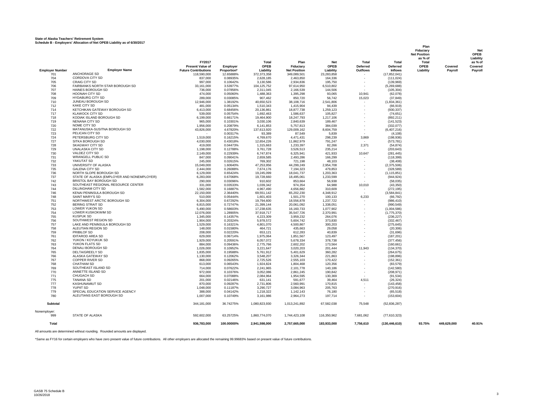#### **State of Alaska Teachers' Retirement System Schedule B - Employers' Allocation of Net OPEB Liability as of 6/30/2017**

|                               |                                                         |                                                        |                          |                         |                                    |                      |                 |                                   | Plan<br>Fiduciary<br><b>Net Position</b><br>as % of |             | Net<br>OPEB<br>Liability |
|-------------------------------|---------------------------------------------------------|--------------------------------------------------------|--------------------------|-------------------------|------------------------------------|----------------------|-----------------|-----------------------------------|-----------------------------------------------------|-------------|--------------------------|
|                               |                                                         | FY2017                                                 |                          | <b>Total</b>            | Plan                               | <b>Net</b>           | Total           | Total                             | <b>Total</b>                                        |             | as % of                  |
|                               |                                                         | <b>Present Value of</b><br><b>Future Contributions</b> | Employer                 | OPEB<br>Liability       | Fiduciarv                          | OPEB<br>Liability    | <b>Deferred</b> | <b>Deferred</b><br><b>Inflows</b> | <b>OPEB</b><br>Liability                            | Covered     | Covered                  |
| <b>Employer Number</b><br>701 | <b>Employer Name</b><br>ANCHORAGE SD                    | 118,590,000                                            | Proportion*<br>12.65888% | 372,373,358             | <b>Net Position</b><br>349,089,501 | 23,283,858           | <b>Outflows</b> | (17, 852, 041)                    |                                                     | Payroll     | Payroll                  |
| 704                           | CORDOVA CITY SD                                         | 837,000                                                | 0.08935%                 | 2,628,185               | 2,463,850                          | 164,336              |                 | (111.024)                         |                                                     |             |                          |
| 705                           | <b>CRAIG CITY SD</b>                                    | 997,000                                                | 0.10642%                 | 3,130,586               | 2,934,836                          | 195,750              |                 | (139,969)                         |                                                     |             |                          |
| 706                           | FAIRBANKS NORTH STAR BOROUGH SD                         | 33.161.000                                             | 3.53977%                 | 104.125.752             | 97.614.950                         | 6,510,802            |                 | (5,269,688)                       |                                                     |             |                          |
| 707<br>708                    | HAINES BOROUGH SD<br>HOONAH CITY SD                     | 736,000<br>474.000                                     | 0.07856%<br>0.05060%     | 2.311.045<br>1,488,363  | 2,166,539<br>1,395,298             | 144,506<br>93,065    | 10.941          | (105, 304)<br>(62,078)            |                                                     |             |                          |
| 709                           | <b>HYDABURG CITY SD</b>                                 | 289,000                                                | 0.03085%                 | 907,462                 | 850,720                            | 56,742               | 15,023          | (37, 849)                         |                                                     |             |                          |
| 710                           | JUNEAU BOROUGH SD                                       | 12.946.000                                             | 1.38192%                 | 40,650,523              | 38,108,716                         | 2,541,806            |                 | (1,834,361)                       |                                                     |             |                          |
| 712                           | <b>KAKE CITY SD</b>                                     | 481,000                                                | 0.05134%                 | 1,510,343               | 1,415,904                          | 94,439               |                 | (66, 919)                         |                                                     |             |                          |
| 714                           | KETCHIKAN GATEWAY BOROUGH SD                            | 6.413.000                                              | 0.68456%                 | 20.136.861              | 18,877,738                         | 1,259,123            |                 | (930.337)                         |                                                     |             |                          |
| 717<br>718                    | <b>KLAWOCK CITY SD</b><br>KODIAK ISLAND BOROUGH SD      | 539,000                                                | 0.05754%<br>0.66171%     | 1,692,463               | 1,586,637                          | 105.827              |                 | (74, 651)                         |                                                     |             |                          |
| 719                           | NENANA CITY SD                                          | 6,199,000<br>965,000                                   | 0.10301%                 | 19,464,900<br>3,030,106 | 18,247,793<br>2,840,639            | 1,217,106<br>189,467 |                 | (892, 211)<br>(141, 523)          |                                                     |             |                          |
| 720                           | NOME CITY SD                                            | 1,956,000                                              | 0.20879%                 | 6,141,853               | 5,757,813                          | 384,039              |                 | (332.077)                         |                                                     |             |                          |
| 722                           | MATANUSKA-SUSITNA BOROUGH SD                            | 43,826,000                                             | 4.67820%                 | 137,613,920             | 129,009,162                        | 8,604,759            |                 | (6,407,216)                       |                                                     |             |                          |
| 723                           | PELICAN CITY SD                                         |                                                        | 0.00317%                 | 93.389                  | 87.549                             | 5,839                |                 | (4, 108)                          |                                                     |             |                          |
| 724                           | PETERSBURG CITY SD                                      | 1,519,000                                              | 0.16215%                 | 4,769,670               | 4,471,431                          | 298,239              | 3,869           | (198, 936)                        |                                                     |             |                          |
| 727<br>728                    | SITKA BOROUGH SD<br>SKAGWAY CITY SD                     | 4,030,000<br>419,000                                   | 0.43018%<br>0.04473%     | 12,654,226<br>1,315,663 | 11,862,979<br>1,233,397            | 791,247<br>82,266    | 2,371           | (573, 781)<br>(54, 874)           |                                                     |             |                          |
| 729                           | UNALASKA CITY SD                                        | 1,198,000                                              | 0.12788%                 | 3,761,728               | 3,526,513                          | 235,214              |                 | (203, 643)                        |                                                     |             |                          |
| 730                           | VALDEZ CITY SD                                          | 2.149.000                                              | 0.22939%                 | 6.747.874               | 6.325.941                          | 421.933              | 10,647          | (281.445)                         |                                                     |             |                          |
| 731                           | <b>WRANGELL PUBLIC SD</b>                               | 847.000                                                | 0.09041%                 | 2.659.585               | 2.493.286                          | 166.299              |                 | (118.399)                         |                                                     |             |                          |
| 732                           | YAKUTAT SD                                              | 245,000                                                | 0.02615%                 | 769,302                 | 721,198                            | 48,103               |                 | (38, 408)                         |                                                     |             |                          |
| 733<br>735                    | UNIVERSITY OF ALASKA<br><b>GALENA CITY SD</b>           | 15,049,000<br>2,444,000                                | 1.60640%<br>0.26088%     | 47,253,956<br>7,674,176 | 44,299,249<br>7,194,323            | 2,954,708<br>479,853 |                 | (2,375,506)<br>(328, 589)         |                                                     |             |                          |
| 736                           | NORTH SLOPE BOROUGH SD                                  | 6,129,000                                              | 0.65424%                 | 19,245,099              | 18,041,737                         | 1,203,363            |                 | (1, 115, 851)                     |                                                     |             |                          |
| 737                           | STATE OF ALASKA (EMPLOYER AND NONEMPLOYER)              | 6.283.000                                              | 0.67068%                 | 19.728.660              | 18.495.061                         | 1.233.599            |                 | (944.924)                         |                                                     |             |                          |
| 742                           | BRISTOL BAY BOROUGH SD                                  | 290,000                                                | 0.03096%                 | 910.602                 | 853.664                            | 56.938               |                 | (58.035)                          |                                                     |             |                          |
| 743                           | SOUTHEAST REGIONAL RESOURCE CENTER                      | 331,000                                                | 0.03533%                 | 1,039,342               | 974,354                            | 64,988               | 10,010          | (43, 350)                         |                                                     |             |                          |
| 744<br>746                    | <b>DILLINGHAM CITY SD</b><br>KENAI PENINSULA BOROUGH SD | 1,582,000<br>22,150,000                                | 0.16887%<br>2.36440%     | 4,967,490<br>69,551,142 | 4,656,882<br>65,202,230            | 310,609<br>4,348,912 | $\sim$          | (272, 195)<br>(3,584,841)         |                                                     |             |                          |
| 748                           | SAINT MARY'S SD                                         | 510,000                                                | 0.05444%                 | 1,601,403               | 1,501,270                          | 100,133              | 6,233           | (66, 792)                         |                                                     |             |                          |
| 751                           | NORTHWEST ARCTIC BOROUGH SD                             | 6.304.000                                              | 0.67292%                 | 19.794.600              | 18.556.878                         | 1,237,722            |                 | (986.410)                         |                                                     |             |                          |
| 752                           | <b>BERING STRAIT SD</b>                                 | 6,815,000                                              | 0.72747%                 | 21.399.144              | 20.061.092                         | 1.338.051            |                 | (990.549)                         |                                                     |             |                          |
| 753                           | <b>LOWER YUKON SD</b>                                   | 5,490,000                                              | 0.58603%                 | 17,238,635              | 16, 160, 733                       | 1,077,902            |                 | (1,004,586)                       |                                                     |             |                          |
| 754                           | LOWER KUSKOKWIM SD<br><b>KUSPUK SD</b>                  | 12,076,000                                             | 1.28905%                 | 37,918,717              | 35,547,726                         | 2,370,991            |                 | (1,775,370)                       |                                                     |             |                          |
| 755<br>756                    | SOUTHWEST REGION SD                                     | 1,345,000<br>1,904,000                                 | 0.14357%<br>0.20324%     | 4,223,309<br>5,978,572  | 3,959,232<br>5,604,742             | 264,076<br>373,830   |                 | (236, 227)<br>(332, 467)          |                                                     |             |                          |
| 757                           | LAKE AND PENINSULA BOROUGH SD                           | 1,529,000                                              | 0.16321%                 | 4,801,070               | 4.500.867                          | 300.203              |                 | (275, 645)                        |                                                     |             |                          |
| 758                           | ALEUTIAN REGION SD                                      | 148,000                                                | 0.01580%                 | 464,721                 | 435,663                            | 29,058               |                 | (20, 306)                         |                                                     |             |                          |
| 759                           | PRIBILOF SD                                             | 208,000                                                | 0.02220%                 | 653,121                 | 612,283                            | 40,839               |                 | (31, 696)                         |                                                     |             |                          |
| 761                           | <b>IDITAROD AREA SD</b>                                 | 629,000                                                | 0.06714%                 | 1,975,064               | 1,851,567                          | 123,497              |                 | (187, 201)                        |                                                     |             |                          |
| 762<br>763                    | YUKON / KOYUKUK SD<br>YUKON FLATS SD                    | 1,929,000<br>884,000                                   | 0.20591%<br>0.09436%     | 6,057,072<br>2,775,766  | 5,678,334<br>2,602,202             | 378,738<br>173,564   |                 | (377, 456)<br>(160, 661)          |                                                     |             |                          |
| 764                           | <b>DENALI BOROUGH SD</b>                                | 1.026.000                                              | 0.10952%                 | 3.221.647               | 3.020.203                          | 201.444              | 11.943          | (134.370)                         |                                                     |             |                          |
| 765                           | DELTA/GREELY SD                                         | 1,835,000                                              | 0.19588%                 | 5,761,912               | 5,401,629                          | 360,282              |                 | (264, 675)                        |                                                     |             |                          |
| 766                           | ALASKA GATEWAY SD                                       | 1,130,000                                              | 0.12062%                 | 3,548,207               | 3,326,344                          | 221,863              |                 | (198, 896)                        |                                                     |             |                          |
| 767                           | COPPER RIVER SD<br><b>CHATHAM SD</b>                    | 868,000                                                | 0.09265%                 | 2,725,526               | 2,555,103                          | 170,422              |                 | (152, 361)                        |                                                     |             |                          |
| 768<br>769                    | SOUTHEAST ISLAND SD                                     | 613,000<br>714,000                                     | 0.06543%<br>0.07622%     | 1.924.824<br>2,241,965  | 1,804,468<br>2,101,778             | 120,356<br>140,186   |                 | (83, 579)<br>(142, 580)           |                                                     |             |                          |
| 770                           | ANNETTE ISLAND SD                                       | 972.000                                                | 0.10376%                 | 3.052.086               | 2.861.245                          | 190.842              |                 | (208.971)                         |                                                     |             |                          |
| 771                           | CHUGACH SD                                              | 664,000                                                | 0.07088%                 | 2,084,964               | 1,954,595                          | 130,369              |                 | (91, 534)                         |                                                     |             |                          |
| 775                           | <b>TANANA SD</b>                                        | 201,000                                                | 0.02146%                 | 631,141                 | 591,677                            | 39,464               | 4,511           | (26, 324)                         |                                                     |             |                          |
| 777                           | KASHUNAMIUT SD                                          | 870,000                                                | 0.09287%                 | 2,731,806               | 2,560,991                          | 170,815              |                 | (143, 458)                        |                                                     |             |                          |
| 778<br>779                    | YUPIIT SD<br>SPECIAL EDUCATION SERVICE AGENCY           | 1,048,000<br>388,000                                   | 0.11187%<br>0.04142%     | 3,290,727<br>1.218.322  | 3,084,963<br>1.142.143             | 205,763<br>76.180    |                 | (270, 916)<br>(65.518)            |                                                     |             |                          |
| 780                           | ALEUTIANS EAST BOROUGH SD                               | 1.007.000                                              | 0.10749%                 | 3,161,986               | 2.964.273                          | 197.714              |                 | (153, 604)                        |                                                     |             |                          |
| Subtotal                      |                                                         | 344,181,000                                            | 36.74275%                | 1,080,823,930           | 1,013,241,892                      | 67,582,038           | 75,548          | (52, 836, 287)                    |                                                     |             |                          |
| Nonemployer:                  |                                                         |                                                        |                          |                         |                                    |                      |                 |                                   |                                                     |             |                          |
| 999                           | <b>STATE OF ALASKA</b>                                  | 592.602.000                                            | 63.25725%                | 1.860.774.070           | 1,744,423,108                      | 116.350.962          | 7.681.062       | (77,610,323)                      |                                                     |             |                          |
| <b>Total</b>                  |                                                         | 936.783.000                                            | 100.00000%               | 2.941.598.000           | 2,757,665,000                      | 183,933,000          | 7,756,610       | (130, 446, 610)                   | 93.75%                                              | 449.629.000 | 40.91%                   |

All amounts are determined without rounding. Rounded amounts are displayed.

\*Same as FY16 for certain employers who have zero present value of future contributions. All other employers are allocated the remaining 99.99683% based on present value of future contributions.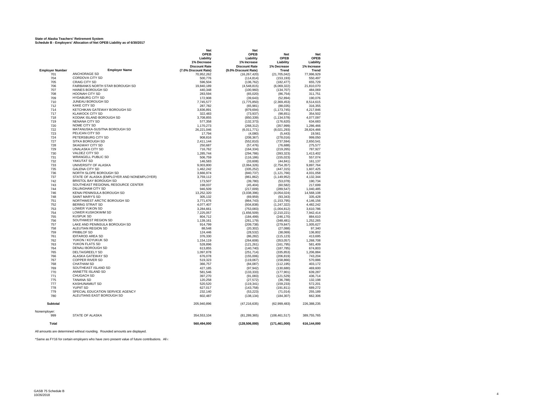#### **State of Alaska Teachers' Retirement System Schedule B - Employers' Allocation of Net OPEB Liability as of 6/30/2017**

|                        |                                            | <b>Net</b>           | <b>Net</b>           |                 |             |
|------------------------|--------------------------------------------|----------------------|----------------------|-----------------|-------------|
|                        |                                            | <b>OPEB</b>          | <b>OPEB</b>          | <b>Net</b>      | <b>Net</b>  |
|                        |                                            | Liability            | Liability            | <b>OPEB</b>     | <b>OPEB</b> |
|                        |                                            | 1% Decrease          | 1% Increase          | Liability       | Liability   |
|                        |                                            | <b>Discount Rate</b> | <b>Discount Rate</b> | 1% Decrease     | 1% Increase |
| <b>Employer Number</b> | <b>Employer Name</b>                       | (7.0% Discount Rate) | (9.0% Discount Rate) | <b>Trend</b>    | Trend       |
| 701                    | ANCHORAGE SD                               | 70,952,262           | (16, 267, 420)       | (21,705,042)    | 77,996,929  |
| 704                    | CORDOVA CITY SD                            | 500,776              | (114, 814)           | (153, 193)      | 550,497     |
| 705                    | <b>CRAIG CITY SD</b>                       | 596.504              | (136, 762)           | (182, 477)      | 655,729     |
| 706                    | FAIRBANKS NORTH STAR BOROUGH SD            | 19.840.189           | (4,548,815)          | (6,069,322)     | 21,810,070  |
| 707                    | <b>HAINES BOROUGH SD</b>                   | 440,348              | (100, 960)           | (134, 707)      | 484,069     |
| 708                    | <b>HOONAH CITY SD</b>                      | 283,594              | (65, 020)            | (86, 754)       | 311,751     |
| 709                    | <b>HYDABURG CITY SD</b>                    | 172,908              | (39, 643)            | (52, 894)       | 190,076     |
| 710                    | JUNEAU BOROUGH SD                          |                      |                      |                 |             |
| 712                    | <b>KAKE CITY SD</b>                        | 7,745,577            | (1,775,850)          | (2,369,453)     | 8,514,615   |
|                        |                                            | 287,782              | (65, 981)            | (88, 035)       | 316,355     |
| 714                    | KETCHIKAN GATEWAY BOROUGH SD               | 3,836,891            | (879, 694)           | (1, 173, 745)   | 4,217,846   |
| 717                    | <b>KLAWOCK CITY SD</b>                     | 322.483              | (73.937)             | (98.651)        | 354.502     |
| 718                    | KODIAK ISLAND BOROUGH SD                   | 3,708,855            | (850, 339)           | (1, 134, 578)   | 4,077,097   |
| 719                    | <b>NENANA CITY SD</b>                      | 577,358              | (132, 373)           | (176, 620)      | 634,683     |
| 720                    | NOME CITY SD                               | 1,170,273            | (268, 312)           | (357, 999)      | 1,286,466   |
| 722                    | MATANUSKA-SUSITNA BOROUGH SD               | 26,221,046           | (6,011,771)          | (8,021,293)     | 28,824,466  |
| 723                    | PELICAN CITY SD                            | 17,794               | (4,080)              | (5, 443)        | 19,561      |
| 724                    | PETERSBURG CITY SD                         | 908,816              | (208, 367)           | (278, 016)      | 999,050     |
| 727                    | SITKA BOROUGH SD                           | 2,411,144            | (552, 810)           | (737, 594)      | 2,650,541   |
| 728                    | <b>SKAGWAY CITY SD</b>                     | 250.687              | (57.476)             | (76.688)        | 275.577     |
| 729                    | <b>UNALASKA CITY SD</b>                    | 716,762              | (164, 334)           | (219, 265)      | 787,927     |
| 730                    | VALDEZ CITY SD                             | 1,285,744            | (294, 786)           | (393, 323)      | 1,413,402   |
| 731                    | <b>WRANGELL PUBLIC SD</b>                  | 506,759              | (116, 186)           | (155, 023)      | 557,074     |
|                        |                                            |                      |                      |                 |             |
| 732                    | YAKUTAT SD                                 | 146,583              | (33, 608)            | (44, 841)       | 161,137     |
| 733                    | UNIVERSITY OF ALASKA                       | 9,003,800            | (2,064,326)          | (2,754,357)     | 9.897.764   |
| 735                    | <b>GALENA CITY SD</b>                      | 1,462,242            | (335, 252)           | (447, 315)      | 1,607,425   |
| 736                    | NORTH SLOPE BOROUGH SD                     | 3,666,974            | (840, 737)           | (1, 121, 766)   | 4,031,058   |
| 737                    | STATE OF ALASKA (EMPLOYER AND NONEMPLOYER) | 3.759.112            | (861.862)            | (1, 149, 952)   | 4.132.344   |
| 742                    | BRISTOL BAY BOROUGH SD                     | 173,507              | (39, 780)            | (53,078)        | 190,734     |
| 743                    | SOUTHEAST REGIONAL RESOURCE CENTER         | 198,037              | (45, 404)            | (60, 582)       | 217,699     |
| 744                    | <b>DILLINGHAM CITY SD</b>                  | 946.509              | (217,009)            | (289.547)       | 1.040.485   |
| 746                    | KENAI PENINSULA BOROUGH SD                 | 13,252,320           | (3,038,396)          | (4,054,024)     | 14,568,108  |
| 748                    | <b>SAINT MARY'S SD</b>                     | 305,132              | (69, 959)            | (93, 343)       | 335,428     |
| 751                    | NORTHWEST ARCTIC BOROUGH SD                | 3,771,676            | (864, 743)           | (1, 153, 795)   | 4,146,156   |
| 752                    | <b>BERING STRAIT SD</b>                    | 4,077,407            | (934, 838)           | (1, 247, 322)   | 4,482,242   |
| 753                    | <b>LOWER YUKON SD</b>                      | 3.284.661            | (753, 083)           | (1,004,812)     | 3.610.786   |
| 754                    | LOWER KUSKOKWIM SD                         | 7,225,057            | (1,656,509)          | (2,210,221)     | 7,942,414   |
|                        |                                            |                      |                      |                 |             |
| 755                    | <b>KUSPUK SD</b>                           | 804.712              | (184.499)            | (246.170)       | 884.610     |
| 756                    | SOUTHWEST REGION SD                        | 1.139.161            | (261, 179)           | (348, 481)      | 1,252,265   |
| 757                    | LAKE AND PENINSULA BOROUGH SD              | 914,799              | (209, 738)           | (279, 847)      | 1,005,627   |
| 758                    | ALEUTIAN REGION SD                         | 88.548               | (20, 302)            | (27,088)        | 97.340      |
| 759                    | PRIBILOF SD                                | 124,446              | (28, 532)            | (38,069)        | 136,802     |
| 761                    | <b>IDITAROD AREA SD</b>                    | 376,330              | (86, 282)            | (115, 123)      | 413,695     |
| 762                    | YUKON / KOYUKUK SD                         | 1,154,119            | (264, 608)           | (353,057)       | 1,268,708   |
| 763                    | YUKON FLATS SD                             | 528,896              | (121, 261)           | (161, 795)      | 581,409     |
| 764                    | DENALI BOROUGH SD                          | 613.855              | (140.740)            | (187, 785)      | 674.803     |
| 765                    | <b>DELTA/GREELY SD</b>                     | 1,097,878            | (251, 714)           | (335, 853)      | 1,206,884   |
| 766                    | ALASKA GATEWAY SD                          | 676,078              | (155,006)            | (206, 819)      | 743,204     |
| 767                    | <b>COPPER RIVER SD</b>                     | 519.323              | (119,067)            | (158, 866)      | 570.886     |
| 768                    | <b>CHATHAM SD</b>                          | 366,757              | (84,087)             | (112.195)       | 403.172     |
| 769                    | SOUTHEAST ISLAND SD                        | 427,185              | (97, 942)            | (130, 680)      | 469,600     |
| 770                    | ANNETTE ISLAND SD                          | 581,546              | (133, 333)           | (177,901)       | 639,287     |
|                        | CHUGACH SD                                 |                      |                      |                 |             |
| 771                    |                                            | 397,270              | (91,083)             | (121, 529)      | 436,714     |
| 775                    | <b>TANANA SD</b><br><b>KASHUNAMIUT SD</b>  | 120,258              | (27, 572)            | (36, 788)       | 132,198     |
| 777                    |                                            | 520,520              | (119, 341)           | (159, 233)      | 572,201     |
| 778                    | <b>YUPIIT SD</b>                           | 627,017              | (143, 758)           | (191, 811)      | 689,272     |
| 779                    | SPECIAL EDUCATION SERVICE AGENCY           | 232.140              | (53.223)             | (71.014)        | 255.189     |
| 780                    | ALEUTIANS EAST BOROUGH SD                  | 602,487              | (138, 134)           | (184, 307)      | 662,306     |
| <b>Subtotal</b>        |                                            | 205,940,896          | (47, 216, 635)       | (62,999,483)    | 226,388,235 |
| Nonemplover:           |                                            |                      |                      |                 |             |
| 999                    | <b>STATE OF ALASKA</b>                     | 354,553,104          | (81, 289, 365)       | (108, 461, 517) | 389,755,765 |
| <b>Total</b>           |                                            | 560.494.000          | (128, 506, 000)      | (171, 461, 000) | 616.144.000 |
|                        |                                            |                      |                      |                 |             |

All amounts are determined without rounding. Rounded amounts are displayed.

\*Same as FY16 for certain employers who have zero present value of future contributions. All other a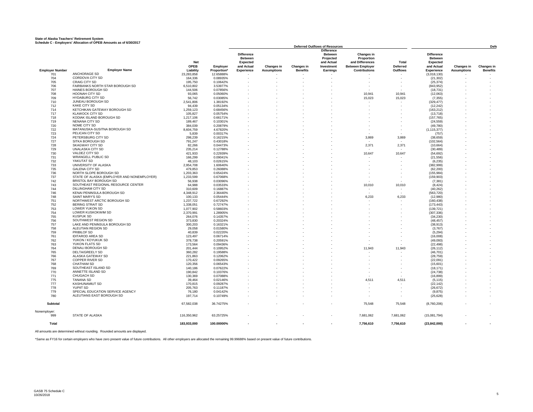#### **State of Alaska Teachers' Retirement System Schedule C - Employers' Allocation of OPEB Amounts as of 6/30/2017**

|                        |                                            |             |                    |                   |                          |                          | <b>Deferred Outflows of Resources</b> |                         |                          | <b>Defe</b>       |                          |                          |
|------------------------|--------------------------------------------|-------------|--------------------|-------------------|--------------------------|--------------------------|---------------------------------------|-------------------------|--------------------------|-------------------|--------------------------|--------------------------|
|                        |                                            |             |                    |                   |                          |                          | <b>Difference</b>                     |                         |                          |                   |                          |                          |
|                        |                                            |             |                    | <b>Difference</b> |                          |                          | <b>Between</b>                        | Changes in              |                          | <b>Difference</b> |                          |                          |
|                        |                                            |             |                    | <b>Between</b>    |                          |                          | Projected                             | Proportion              |                          | <b>Between</b>    |                          |                          |
|                        |                                            | <b>Net</b>  |                    | Expected          |                          |                          | and Actual                            | and Differences         | Total                    | Expected          |                          |                          |
|                        |                                            | <b>OPEB</b> |                    |                   |                          |                          |                                       |                         |                          |                   |                          |                          |
|                        |                                            |             | Employer           | and Actual        | <b>Changes in</b>        | <b>Changes in</b>        | Investment                            | <b>Between Employer</b> | Deferred                 | and Actual        | <b>Changes in</b>        | <b>Changes in</b>        |
| <b>Employer Number</b> | <b>Employer Name</b>                       | Liability   | <b>Proportion*</b> | Experience        | <b>Assumptions</b>       | <b>Benefits</b>          | <b>Earnings</b>                       | <b>Contributions</b>    | Outflows                 | Experience        | <b>Assumptions</b>       | <b>Benefits</b>          |
| 701                    | ANCHORAGE SD                               | 23,283,858  | 12.65888%          |                   |                          |                          |                                       |                         |                          | (3,018,130)       |                          |                          |
| 704                    | CORDOVA CITY SD                            | 164.336     | 0.08935%           |                   |                          |                          |                                       |                         |                          | (21, 302)         |                          |                          |
| 705                    | <b>CRAIG CITY SD</b>                       | 195,750     | 0.10642%           |                   |                          |                          |                                       |                         |                          | (25, 374)         |                          |                          |
| 706                    | FAIRBANKS NORTH STAR BOROUGH SD            | 6,510,802   | 3.53977%           |                   |                          |                          |                                       | ÷                       |                          | (843,952)         |                          |                          |
|                        |                                            |             |                    |                   |                          |                          |                                       |                         |                          |                   |                          |                          |
| 707                    | HAINES BOROUGH SD                          | 144,506     | 0.07856%           |                   |                          |                          |                                       |                         |                          | (18, 731)         |                          |                          |
| 708                    | HOONAH CITY SD                             | 93,065      | 0.05060%           |                   |                          |                          |                                       | 10,941                  | 10,941                   | (12,063)          |                          |                          |
| 709                    | <b>HYDABURG CITY SD</b>                    | 56,742      | 0.03085%           |                   |                          |                          |                                       | 15,023                  | 15,023                   | (7, 355)          |                          |                          |
| 710                    | JUNEAU BOROUGH SD                          | 2,541,806   | 1.38192%           |                   |                          |                          |                                       |                         |                          | (329, 477)        |                          |                          |
| 712                    | <b>KAKE CITY SD</b>                        | 94,439      | 0.05134%           |                   |                          |                          |                                       |                         |                          | (12, 242)         |                          |                          |
|                        | KETCHIKAN GATEWAY BOROUGH SD               |             |                    |                   |                          |                          |                                       |                         |                          |                   |                          |                          |
| 714                    |                                            | 1,259,123   | 0.68456%           |                   |                          |                          |                                       |                         |                          | (163, 212)        |                          |                          |
| 717                    | <b>KLAWOCK CITY SD</b>                     | 105.827     | 0.05754%           |                   |                          |                          |                                       |                         |                          | (13.718)          |                          |                          |
| 718                    | KODIAK ISLAND BOROUGH SD                   | 1.217.106   | 0.66171%           |                   |                          |                          |                                       |                         |                          | (157, 765)        |                          |                          |
| 719                    | <b>NENANA CITY SD</b>                      | 189,467     | 0.10301%           |                   |                          |                          |                                       |                         |                          | (24, 559)         |                          |                          |
| 720                    | NOME CITY SD                               | 384,039     | 0.20879%           |                   |                          |                          |                                       |                         |                          | (49,780)          |                          |                          |
|                        |                                            |             |                    |                   |                          |                          |                                       |                         |                          |                   |                          |                          |
| 722                    | MATANUSKA-SUSITNA BOROUGH SD               | 8,604,759   | 4.67820%           |                   |                          |                          |                                       |                         | $\overline{a}$           | (1, 115, 377)     |                          |                          |
| 723                    | PELICAN CITY SD                            | 5.839       | 0.00317%           |                   |                          |                          |                                       |                         |                          | (757)             |                          |                          |
| 724                    | PETERSBURG CITY SD                         | 298.239     | 0.16215%           |                   |                          |                          |                                       | 3,869                   | 3,869                    | (38, 659)         |                          |                          |
| 727                    | SITKA BOROUGH SD                           | 791,247     | 0.43018%           |                   |                          |                          |                                       |                         | $\overline{\phantom{a}}$ | (102, 564)        |                          |                          |
| 728                    | SKAGWAY CITY SD                            | 82,266      | 0.04473%           |                   |                          |                          |                                       | 2,371                   | 2,371                    | (10, 664)         |                          |                          |
|                        |                                            |             |                    |                   |                          |                          |                                       |                         |                          |                   |                          |                          |
| 729                    | UNALASKA CITY SD                           | 235,214     | 0.12788%           |                   |                          |                          |                                       |                         |                          | (30, 489)         |                          |                          |
| 730                    | VALDEZ CITY SD                             | 421.933     | 0.22939%           |                   |                          |                          |                                       | 10,647                  | 10,647                   | (54, 692)         |                          |                          |
| 731                    | <b>WRANGELL PUBLIC SD</b>                  | 166.299     | 0.09041%           |                   |                          |                          |                                       |                         |                          | (21, 556)         |                          |                          |
| 732                    | YAKUTAT SD                                 | 48,103      | 0.02615%           |                   |                          |                          |                                       |                         |                          | (6, 235)          |                          |                          |
| 733                    | UNIVERSITY OF ALASKA                       | 2,954,708   | 1.60640%           |                   |                          |                          |                                       |                         |                          | (382, 999)        |                          |                          |
|                        |                                            |             |                    |                   |                          |                          |                                       |                         |                          |                   |                          |                          |
| 735                    | <b>GALENA CITY SD</b>                      | 479,853     | 0.26088%           |                   |                          |                          |                                       |                         |                          | (62, 200)         |                          |                          |
| 736                    | NORTH SLOPE BOROUGH SD                     | 1.203.363   | 0.65424%           |                   |                          |                          |                                       |                         |                          | (155, 984)        |                          |                          |
| 737                    | STATE OF ALASKA (EMPLOYER AND NONEMPLOYER) | 1,233,599   | 0.67068%           |                   |                          |                          |                                       |                         | $\overline{a}$           | (159, 903)        |                          |                          |
| 742                    | BRISTOL BAY BOROUGH SD                     | 56,938      | 0.03096%           |                   |                          |                          |                                       |                         |                          | (7, 381)          |                          |                          |
| 743                    | SOUTHEAST REGIONAL RESOURCE CENTER         | 64.988      | 0.03533%           |                   |                          |                          |                                       | 10,010                  | 10,010                   | (8, 424)          |                          |                          |
|                        |                                            |             |                    |                   |                          |                          |                                       |                         |                          |                   |                          |                          |
| 744                    | DILLINGHAM CITY SD                         | 310.609     | 0.16887%           |                   |                          |                          |                                       |                         |                          | (40.262)          |                          |                          |
| 746                    | KENAI PENINSULA BOROUGH SD                 | 4.348.912   | 2.36440%           |                   |                          |                          |                                       |                         |                          | (563, 720)        |                          |                          |
| 748                    | SAINT MARY'S SD                            | 100,133     | 0.05444%           |                   |                          |                          |                                       | 6,233                   | 6,233                    | (12,980)          |                          |                          |
| 751                    | NORTHWEST ARCTIC BOROUGH SD                | 1,237,722   | 0.67292%           |                   |                          |                          |                                       |                         |                          | (160, 438)        |                          |                          |
| 752                    | <b>BERING STRAIT SD</b>                    | 1,338,051   | 0.72747%           |                   |                          |                          |                                       |                         |                          | (173, 443)        |                          |                          |
|                        |                                            |             |                    |                   |                          |                          |                                       |                         |                          |                   |                          |                          |
| 753                    | LOWER YUKON SD                             | 1,077,902   | 0.58603%           |                   |                          |                          |                                       |                         |                          | (139, 721)        |                          |                          |
| 754                    | LOWER KUSKOKWIM SD                         | 2.370.991   | 1.28905%           |                   |                          |                          |                                       |                         |                          | (307, 336)        |                          |                          |
| 755                    | <b>KUSPUK SD</b>                           | 264,076     | 0.14357%           |                   |                          |                          |                                       |                         |                          | (34, 230)         |                          |                          |
| 756                    | SOUTHWEST REGION SD                        | 373,830     | 0.20324%           |                   |                          |                          |                                       |                         |                          | (48, 457)         |                          |                          |
| 757                    | LAKE AND PENINSULA BOROUGH SD              | 300,203     | 0.16321%           |                   |                          |                          |                                       |                         |                          | (38, 913)         |                          |                          |
|                        |                                            |             |                    |                   |                          |                          |                                       |                         |                          |                   |                          |                          |
| 758                    | ALEUTIAN REGION SD                         | 29,058      | 0.01580%           |                   |                          |                          |                                       |                         |                          | (3,767)           |                          |                          |
| 759                    | PRIBILOF SD                                | 40,839      | 0.02220%           |                   |                          |                          |                                       |                         |                          | (5,294)           |                          |                          |
| 761                    | <b>IDITAROD AREA SD</b>                    | 123,497     | 0.06714%           |                   |                          |                          |                                       |                         |                          | (16,008)          |                          |                          |
| 762                    | YUKON / KOYUKUK SD                         | 378,738     | 0.20591%           |                   |                          |                          |                                       |                         |                          | (49,093)          |                          |                          |
| 763                    | YUKON FLATS SD                             | 173,564     | 0.09436%           |                   |                          |                          |                                       |                         |                          | (22, 498)         |                          |                          |
|                        |                                            |             |                    |                   |                          |                          |                                       |                         |                          |                   |                          |                          |
| 764                    | DENALI BOROUGH SD                          | 201.444     | 0.10952%           |                   |                          |                          |                                       | 11,943                  | 11.943                   | (26.112)          |                          |                          |
| 765                    | DELTA/GREELY SD                            | 360,282     | 0.19588%           |                   |                          |                          |                                       |                         |                          | (46, 701)         |                          |                          |
| 766                    | ALASKA GATEWAY SD                          | 221,863     | 0.12062%           |                   |                          |                          |                                       |                         |                          | (28, 759)         |                          |                          |
| 767                    | COPPER RIVER SD                            | 170,422     | 0.09265%           |                   |                          |                          |                                       |                         |                          | (22,091)          |                          |                          |
| 768                    | CHATHAM SD                                 | 120.356     | 0.06543%           |                   |                          |                          |                                       |                         |                          | (15.601)          |                          |                          |
| 769                    | SOUTHEAST ISLAND SD                        | 140.186     | 0.07622%           |                   |                          |                          |                                       |                         |                          | (18.171)          |                          |                          |
|                        |                                            |             |                    |                   |                          |                          |                                       |                         |                          |                   |                          |                          |
| 770                    | ANNETTE ISLAND SD                          | 190,842     | 0.10376%           |                   |                          |                          |                                       |                         |                          | (24, 738)         |                          |                          |
| 771                    | CHUGACH SD                                 | 130,369     | 0.07088%           |                   |                          |                          |                                       |                         |                          | (16, 899)         |                          |                          |
| 775                    | <b>TANANA SD</b>                           | 39,464      | 0.02146%           |                   |                          |                          |                                       | 4,511                   | 4,511                    | (5, 115)          |                          |                          |
| 777                    | KASHUNAMIUT SD                             | 170,815     | 0.09287%           |                   |                          |                          |                                       |                         |                          | (22, 142)         |                          |                          |
|                        | YUPIIT SD                                  |             |                    |                   |                          |                          |                                       |                         |                          |                   |                          |                          |
| 778                    |                                            | 205,763     | 0.11187%           |                   |                          |                          |                                       | ٠                       | $\overline{\phantom{a}}$ | (26, 672)         |                          |                          |
| 779                    | SPECIAL EDUCATION SERVICE AGENCY           | 76,180      | 0.04142%           |                   |                          |                          |                                       |                         |                          | (9,875)           |                          |                          |
| 780                    | ALEUTIANS EAST BOROUGH SD                  | 197,714     | 0.10749%           |                   |                          |                          |                                       |                         | $\overline{a}$           | (25, 628)         |                          |                          |
|                        |                                            |             |                    |                   |                          |                          |                                       |                         |                          |                   |                          |                          |
| Subtotal               |                                            | 67,582,038  | 36.74275%          |                   |                          |                          |                                       | 75,548                  | 75,548                   | (8,760,206)       |                          |                          |
| Nonemployer:<br>999    | STATE OF ALASKA                            | 116,350,962 | 63.25725%          |                   |                          |                          |                                       | 7,681,062               | 7,681,062                | (15,081,794)      |                          |                          |
|                        |                                            |             |                    |                   |                          |                          |                                       |                         |                          |                   |                          |                          |
| <b>Total</b>           |                                            | 183.933.000 | 100.00000%         | $\blacksquare$    | $\overline{\phantom{a}}$ | $\overline{\phantom{a}}$ | $\overline{\phantom{a}}$              | 7.756.610               | 7,756,610                | (23,842,000)      | $\overline{\phantom{a}}$ | $\overline{\phantom{a}}$ |

All amounts are determined without rounding. Rounded amounts are displayed.

\*Same as FY16 for certain employers who have zero present value of future contributions. All other employers are allocated the remaining 99.99688% based on present value of future contributions.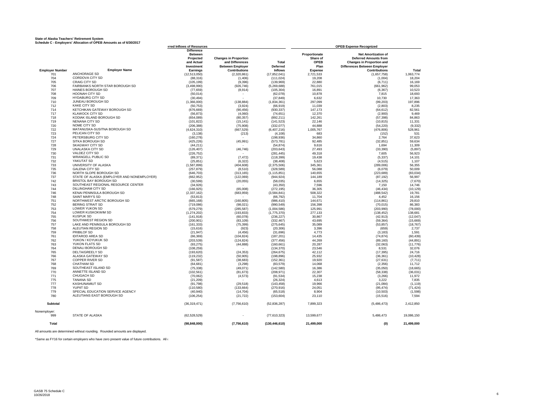#### **State of Alaska Teachers' Retirement System**

**Schedule C - Employers' Allocation of OPEB Amounts as of 6/30/2017 Employer Number Employer Name** 701 ANCHORAGE SD<br>704 CORDOVA CITY S 704 CORDOVA CITY SD<br>705 CRAIG CITY SD 705 CRAIG CITY SD<br>706 FAIRBANKS NOI 706 FAIRBANKS NORTH STAR BOROUGH SD<br>707 HAINES BOROUGH SD 707 HAINES BOROUGH SD<br>708 HOONAH CITY SD HOONAH CITY SD 709 HYDABURG CITY SD<br>710 JUNEAU BOROUGH S THE JUNEAU BOROUGH SD<br>712 KAKE CITY SD 712 KAKE CITY SD<br>714 KETCHIKAN GA 714 KETCHIKAN GATEWAY BOROUGH SD 717 KLAWOCK CITY SD 718 KODIAK ISLAND BOROUGH SD 719 NENANA CITY SD THE TREAD NOME CITY SD<br>T22 MATANUSKA-SL 122 MATANUSKA-SUSITNA BOROUGH SD<br>723 PELICAN CITY SD 723 PELICAN CITY SD T24 PETERSBURG CITY SD<br>
727 SITKA BOROUGH SD 727 SITKA BOROUGH SD<br>728 SKAGWAY CITY SD 728 SKAGWAY CITY SD<br>729 UNALASKA CITY SD 729 UNALASKA CITY SD<br>730 VALDEZ CITY SD 730 VALDEZ CITY SD<br>731 WRANGELL PUBL 731 WRANGELL PUBLIC SD<br>732 YAKUTAT SD **732** YAKUTAT SD<br>733 UNIVERSITY O 733 UNIVERSITY OF ALASKA<br>735 GALENA CITY SD GALENA CITY SD 736 NORTH SLOPE BOROUGH SD<br>737 STATE OF ALASKA (EMPLOYE THE STATE OF ALASKA (EMPLOYER AND NONEMPLOYER)<br>742 BRISTOL BAY BOROUGH SD T42 BRISTOL BAY BOROUGH SD<br>743 SOUTHEAST REGIONAL RES 743 SOUTHEAST REGIONAL RESOURCE CENTER<br>744 DILLINGHAM CITY SD 744 DILLINGHAM CITY SD 746 KENAI PENINSULA BOROUGH SD 748 SAINT MARY'S SD<br>751 NORTHWEST ARC TT NORTHWEST ARCTIC BOROUGH SD<br>752 BERING STRAIT SD 752 BERING STRAIT SD<br>753 LOWER YUKON SD 753 LOWER YUKON SD<br>754 LOWER KUSKOKWI 754 LOWER KUSKOKWIM SD 755 KUSPUK SD<br>756 SOUTHWEST **SOUTHWEST REGION SD** 1557 LAKE AND PENINSULA BOROUGH SD<br>757 LAKE AND PENINSULA BOROUGH SD 758 ALEUTIAN REGION SD<br>759 PRIBILOF SD 759 PRIBILOF SD<br>761 IDITAROD ARI 761 IDITAROD AREA SD<br>762 YUKON / KOYUKUK 762 YUKON / KOYUKUK SD<br>763 YUKON FLATS SD 763 YUKON FLATS SD<br>764 DENALI BOROUGH **764** DENALI BOROUGH SD<br>765 DELTA/GREELY SD 765 DELTA/GREELY SD<br>766 ALASKA GATEWAY 766 ALASKA GATEWAY SD<br>767 COPPER RIVER SD 767 COPPER RIVER SD<br>768 CHATHAM SD **768** CHATHAM SD<br>769 SOUTHEAST IS 769 SOUTHEAST ISLAND SD T<sub>70</sub> ANNETTE ISLAND SD<br>771 CHUGACH SD TT1 CHUGACH SD<br>775 TANANA SD 775 TANANA SD 777 KASHUNAMIUT SD<br>778 YUPIIT SD 778 YUPIIT SD<br>779 SPECIAL E 779 SPECIAL EDUCATION SERVICE AGENCY 780 ALEUTIANS EAST BOROUGH SD **Subtotal** Nonemployer: STATE OF ALASKA **Total Difference Between Proportionate Net Amortization of Projected Changes in Proportion**<br> **Share of Deferred Amounts from**<br> **Share of Changes in Proportion and**<br> **Share Changes in Proportion and and Differences and Differences Total CPEB Changes in Proportion and**<br> **Retween Employer Deferred Plan Differences Between Employer Investment Between Employer Deferred Plan Differences Between Employer Earnings Contributions Inflows Expense Contributions Total** (12,513,050) (2,320,861) (17,852,041) 2,721,533 (1,657,758) 1,063,774 (88,316) (1,406) (111,024) 19,208 (1,004) 18,204 (105,199) (9,396) (139,969) 22,880 (6,711) 16,169 (3,498,990) (926,746) (5,269,688) 761,015 (661,962) 99,053 (77,659) (8,914) (105,304) 16,891 (6,367) 10,523 (50,014) - (62,078) 10,878 7,815 18,693 (30,494) - (37,849) 6,632 10,730 17,363 (1,366,000) (138,884) (1,834,361) 297,099 (99,203) 197,896 (50,753) (3,924) (66,919) 11,039 (2,803) 8,235 (676,669) (90,456) (930,337) 147,173 (64,612) 82,561 (56,873) (4,060) (74,651) 12,370 (2,900) 9,469 (654,089) (80,357) (892,211) 142,261 (57,398) 84,863 (101,822) (15,141) (141,523) 22,146 (10,815) 11,331 (206,388) (75,908) (332,077) 44,888 (54,220) (9,332) (4,624,310) (667,529) (6,407,216) 1,005,767 (476,806) 528,961 (3,138) (213) (4,108) 683 (152) 531 (160,278) - (198,936) 34,860 2,764 37,623 (425,226) (45,991) (573,781) 92,485 (32,851) 59,634 (44,211) - (54,874) 9,616 1,694 11,309 (126,407) (46,746) (203,643) 27,493 (33,390) (5,897) (226,752) - (281,445) 49,318 7,605 56,923 (89,371) (7,472) (118,399) 19,438 (5,337) 14,101 (25,851) (6,322) (38,408) 5,623 (4,515) 1,107 (1,587,899) (404,608) (2,375,506) 345,361 (289,006) 56,355 (257,879) (8,510) (328,589) 56,088 (6,079) 50,009 (646,703) (313,165) (1,115,851) 140,655 (223,689) (83,034) (662,952) (122,069) (944,924) 144,189 (87,192) 56,997 (30,599) (20,055) (58,035) 6,655 (14,325) (7,670) (34,926) - (43,350) 7,596 7,150 14,746 (166,925) (65,008) (272,195) 36,305 (46,434) (10,129) (2,337,162) (683,959) (3,584,841) 508,322 (488,542) 19,781 (53,813) - (66,792) 11,704 4,452 16,156 (665,168) (160,805) (986,410) 144,671 (114,861) 29,810 (719,086) (98,021) (990,549) 156,398 (70,015) 86,383 (579,279) (285,587) (1,004,586) 125,991 (203,990) (78,000) (1,274,202) (193,833) (1,775,370) 277,133 (138,452) 138,681 (141,918) (60,078) (236,227) 30,867 (42,913) (12,047) (200,901) (83,109) (332,467) 43,695 (59,364) (15,669) (161,333) (75,399) (275,645) 35,089 (53,857) (18,767) (15,616) (923) (20,306) 3,396 (659) 2,737 (21,947) (4,456) (31,696) 4,773 (3,183) 1,591 (66,369) (104,824) (187,201) 14,435 (74,874) (60,439) (203,539) (124,824) (377,456) 44,269 (89,160) (44,891) (93,275) (44,888) (160,661) 20,287 (32,063) (11,776) (108,259) - (134,370) 23,546 8,531 32,076 (193,620) (24,353) (264,675) 42,112 (17,395) 24,716 (119,232) (50,905) (198,896) 25,932 (36,361) (10,428) (91,587) (38,683) (152,361) 19,920 (27,631) (7,711) (64,681) (3,298) (83,579) 14,068 (2,356) 11,712 (75,338) (49,071) (142,580) 16,386 (35,050) (18,665) (102,561) (81,673) (208,971) 22,307 (58,338) (36,031) (70,062) (4,573) (91,534) 15,238 (3,266) 11,972 (21,209) - (26,324) 4,613 3,222 7,835 (91,798) (29,518) (143,458) 19,966 (21,084) (1,119) (110,580) (133,664) (270,916) 24,051 (95,474) (71,424) (40,940) (14,704) (65,518) 8,904 (10,503) (1,598) (106,254) (21,722) (153,604) 23,110 (15,516) 7,594 (36,319,471) (7,756,610) (52,836,287) 7,899,323 (5,486,473) 2,412,850 19,086,150 (62,528,529) - (77,610,323) 13,599,677 5,486,473 19,086,150 19,086,150  **(98,848,000) (7,756,610) (130,446,610) 21,499,000 (0) 21,499,000 DEFERRED INFORMATION SOF RESOURCES COPEB Expense Recognized OPEB Expense Recognized** 

All amounts are determined without rounding. Rounded amounts are displayed.

\*Same as FY16 for certain employers who have zero present value of future contributions. All other a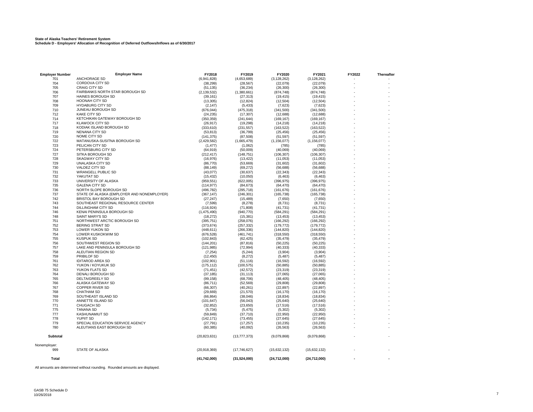| 727                                                                         | SITKA BOROUGH SD                           | (212, 417)     | (148, 751)     | (106, 307)   | (106, 307)   |  |  |
|-----------------------------------------------------------------------------|--------------------------------------------|----------------|----------------|--------------|--------------|--|--|
| 728                                                                         | SKAGWAY CITY SD                            | (16,976)       | (13, 422)      | (11,053)     | (11,053)     |  |  |
| 729                                                                         | UNALASKA CITY SD                           | (86, 770)      | (53, 669)      | (31,602)     | (31,602)     |  |  |
| 730                                                                         | <b>VALDEZ CITY SD</b>                      | (88, 149)      | (69, 272)      | (56, 688)    | (56, 688)    |  |  |
| 731                                                                         | <b>WRANGELL PUBLIC SD</b>                  | (43,077)       | (30, 637)      | (22, 343)    | (22, 343)    |  |  |
| 732                                                                         | YAKUTAT SD                                 | (15, 432)      | (10,050)       | (6, 463)     | (6, 463)     |  |  |
| 733                                                                         | UNIVERSITY OF ALASKA                       | (959, 551)     | (622,005)      | (396, 975)   | (396, 975)   |  |  |
| 735                                                                         | <b>GALENA CITY SD</b>                      | (114, 977)     | (84, 673)      | (64, 470)    | (64, 470)    |  |  |
| 736                                                                         | NORTH SLOPE BOROUGH SD                     | (496, 782)     | (295, 718)     | (161, 676)   | (161, 676)   |  |  |
| 737                                                                         | STATE OF ALASKA (EMPLOYER AND NONEMPLOYER) | (367, 147)     | (246, 301)     | (165, 738)   | (165, 738)   |  |  |
| 742                                                                         | <b>BRISTOL BAY BOROUGH SD</b>              | (27, 247)      | (15, 489)      | (7,650)      | (7,650)      |  |  |
| 743                                                                         | SOUTHEAST REGIONAL RESOURCE CENTER         | (7,599)        | (8,278)        | (8,731)      | (8,731)      |  |  |
| 744                                                                         | DILLINGHAM CITY SD                         | (116, 924)     | (71, 808)      | (41, 731)    | (41, 731)    |  |  |
| 746                                                                         | KENAI PENINSULA BOROUGH SD                 | (1,475,490)    | (940, 770)     | (584, 291)   | (584, 291)   |  |  |
| 748                                                                         | SAINT MARY'S SD                            | (18, 272)      | (15, 381)      | (13, 453)    | (13, 453)    |  |  |
| 751                                                                         | NORTHWEST ARCTIC BOROUGH SD                | (395, 751)     | (258, 076)     | (166, 292)   | (166, 292)   |  |  |
| 752                                                                         | <b>BERING STRAIT SD</b>                    | (373, 674)     | (257, 332)     | (179, 772)   | (179, 772)   |  |  |
| 753                                                                         | LOWER YUKON SD                             | (448, 611)     | (266, 336)     | (144, 820)   | (144, 820)   |  |  |
| 754                                                                         | LOWER KUSKOKWIM SD                         | (676, 528)     | (461, 741)     | (318, 550)   | (318,550)    |  |  |
| 755                                                                         | <b>KUSPUK SD</b>                           | (102, 843)     | (62, 425)      | (35, 479)    | (35, 479)    |  |  |
| 756                                                                         | SOUTHWEST REGION SD                        | (144, 201)     | (87, 816)      | (50, 225)    | (50, 225)    |  |  |
| 757                                                                         | LAKE AND PENINSULA BOROUGH SD              | (121, 985)     | (72, 994)      | (40, 333)    | (40, 333)    |  |  |
| 758                                                                         | ALEUTIAN REGION SD                         | (7, 254)       | (5, 244)       | (3,904)      | (3,904)      |  |  |
| 759                                                                         | PRIBILOF SD                                | (12, 450)      | (8,272)        | (5,487)      | (5,487)      |  |  |
| 761                                                                         | <b>IDITAROD AREA SD</b>                    | (102, 901)     | (51, 116)      | (16, 592)    | (16, 592)    |  |  |
| 762                                                                         | YUKON / KOYUKUK SD                         | (175, 112)     | (100, 575)     | (50, 885)    | (50, 885)    |  |  |
| 763                                                                         | YUKON FLATS SD                             | (71, 451)      | (42, 572)      | (23, 319)    | (23, 319)    |  |  |
| 764                                                                         | <b>DENALI BOROUGH SD</b>                   | (37, 185)      | (31, 113)      | (27,065)     | (27,065)     |  |  |
| 765                                                                         | <b>DELTA/GREELY SD</b>                     | (99, 158)      | (68, 706)      | (48, 405)    | (48, 405)    |  |  |
| 766                                                                         | ALASKA GATEWAY SD                          | (86, 711)      | (52, 569)      | (29, 808)    | (29, 808)    |  |  |
| 767                                                                         | COPPER RIVER SD                            | (66, 307)      | (40, 261)      | (22, 897)    | (22, 897)    |  |  |
| 768                                                                         | <b>CHATHAM SD</b>                          | (29, 669)      | (21, 570)      | (16, 170)    | (16, 170)    |  |  |
| 769                                                                         | SOUTHEAST ISLAND SD                        | (66, 864)      | (38, 046)      | (18, 834)    | (18, 834)    |  |  |
| 770                                                                         | ANNETTE ISLAND SD                          | (101, 647)     | (56, 043)      | (25, 640)    | (25, 640)    |  |  |
| 771                                                                         | CHUGACH SD                                 | (32, 852)      | (23, 650)      | (17, 516)    | (17,516)     |  |  |
| 775                                                                         | <b>TANANA SD</b>                           | (5,734)        | (5, 475)       | (5,302)      | (5,302)      |  |  |
| 777                                                                         | <b>KASHUNAMIUT SD</b>                      | (59, 849)      | (37, 710)      | (22,950)     | (22,950)     |  |  |
| 778                                                                         | <b>YUPIIT SD</b>                           | (142, 171)     | (73, 455)      | (27, 645)    | (27, 645)    |  |  |
| 779                                                                         | SPECIAL EDUCATION SERVICE AGENCY           | (27, 791)      | (17, 257)      | (10, 235)    | (10, 235)    |  |  |
| 780                                                                         | ALEUTIANS EAST BOROUGH SD                  | (60, 385)      | (40,092)       | (26, 563)    | (26, 563)    |  |  |
| <b>Subtotal</b>                                                             |                                            |                |                |              |              |  |  |
|                                                                             |                                            | (20, 823, 631) | (13, 777, 373) | (9,079,868)  | (9,079,868)  |  |  |
| Nonemployer:                                                                |                                            |                |                |              |              |  |  |
| 999                                                                         | <b>STATE OF ALASKA</b>                     | (20,918,369)   | (17,746,627)   | (15,632,132) | (15,632,132) |  |  |
| <b>Total</b>                                                                |                                            | (41,742,000)   | (31,524,000)   | (24,712,000) | (24,712,000) |  |  |
| All amounts are determined without rounding. Rounded amounts are displayed. |                                            |                |                |              |              |  |  |

**Employer Number Employer Name FY2018 FY2019 FY2020 FY2021 FY2022 Thereafter**

-

-

-

-

-

-

-

-

-

-

-

-

-

-

-

-

-

-

-

-

-

-

-

-

-

-

-

-

-

-

-

-

-

-

-

-

-

-

-

-

-

-

-

-

-

-

-

-

-

-

-

-

-

-

-

-

-

-

-

-

-

-

-

-

-

-

-

-

-

-

-

-

-

-

-

-

**-**

701 ANCHORAGE SD (6,941,828) (4,653,689) (3,128,262) (3,128,262)

704 CORDOVA CITY SD (38,299) (28,567) (22,079) (22,079)

705 CRAIG CITY SD (51,135) (36,234) (26,300) (26,300)

706 FAIRBANKS NORTH STAR BOROUGH SD (2,139,532) (1,380,661) (874,748) (874,748)

707 HAINES BOROUGH SD<br>
708 HOONAH CITY SD (19,415) (19,415) (19,415) (19,415) (19,415) (19,415) (19,415) (19,415)<br>
708 (12,504) (12,504) (19,504) (19,504) (19,504) (19,504) (19,504)

708 HOONAH CITY SD (13,305) (12,824) (12,504) (12,504)

709 HYDABURG CITY SD (2,147) (5,433) (7,623) (7,623)

710 JUNEAU BOROUGH SD (676,044) (475,318) (341,500) (341,500)

ти последника с собора (17,000 м) (17,000 м) (17,000 м) (17,000 м) (17,000 м) (189,167) (169,167) (169,167) (<br>200,359) (241,644) (169,167) (169,167) (169,167) (169,167) (169,167) (169,167) (169,167) (169,167) (169,167) (

717 KLAWOCK CITY SD (26,917) (19,298) (14,218) (14,218)

718 KODIAK ISLAND BOROUGH SD (333,610) (231,557) (163,522) (163,522)

719 NENANA CITY SD (53,813) (36,799) (25,456) (25,456)

722 MATANUSKA-SUSITNA BOROUGH SD (2,429,582) (1,665,479) (1,156,077) MATANUSKA-SUSITNA BOROUGH SD (2,429,582)<br>723 PELICAN CITY SD (1,156,077) (1,177) (1,162) (1,662) (785) (785)

723 PELICAN CITY SD (1,477) (1,062) (785) (785)

720 NOME CITY SD (141,375) (87,508) (51,597) (51,597)

712 KAKE CITY SD (24,235) (17,307) (12,688) (12,688)

#### **State of Alaska Teachers' Retirement System Schedule D - Employers' Allocation of Recognition of Deferred Outflows/Inflows as of 6/30/2017**

PETERSBURG CITY SD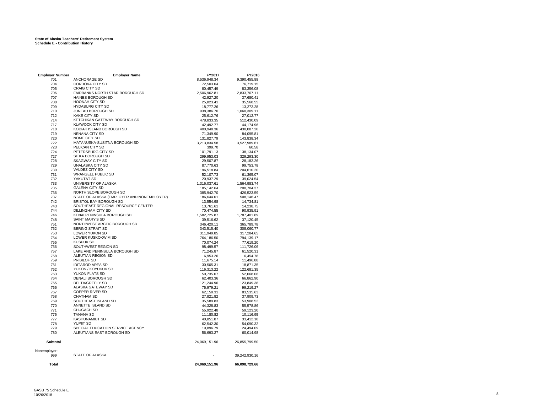| <b>Employer Number</b> | <b>Employer Name</b>                             | FY2017        | FY2016                 |
|------------------------|--------------------------------------------------|---------------|------------------------|
| 701                    | ANCHORAGE SD                                     | 8,536,948.34  | 9,390,455.88           |
| 704                    | CORDOVA CITY SD                                  | 72,503.04     | 76,719.15              |
| 705                    | <b>CRAIG CITY SD</b>                             | 80,457.49     | 83,356.08              |
| 706                    | FAIRBANKS NORTH STAR BOROUGH SD                  | 2,506,962.81  | 2,833,767.11           |
| 707                    | HAINES BOROUGH SD                                | 42,927.20     | 37,680.41              |
| 708                    | <b>HOONAH CITY SD</b>                            | 25,823.41     | 35,568.55              |
| 709                    | <b>HYDABURG CITY SD</b>                          | 18,777.26     | 13,272.28              |
| 710                    | <b>JUNEAU BOROUGH SD</b>                         | 938,386.70    | 1,060,309.11           |
| 712                    | <b>KAKE CITY SD</b>                              | 25,612.76     | 27,012.77              |
| 714                    | KETCHIKAN GATEWAY BOROUGH SD                     | 478,833.35    | 512,430.09             |
| 717                    | <b>KLAWOCK CITY SD</b>                           | 42,492.77     | 44,174.96              |
| 718                    | KODIAK ISLAND BOROUGH SD                         |               |                        |
|                        | <b>NENANA CITY SD</b>                            | 400,948.36    | 430,087.20             |
| 719                    |                                                  | 71,349.90     | 84,095.81              |
| 720                    | NOME CITY SD                                     | 131,827.79    | 143,838.34             |
| 722                    | MATANUSKA-SUSITNA BOROUGH SD                     | 3,213,834.58  | 3,527,989.61           |
| 723                    | PELICAN CITY SD                                  | 399.70        | 60.58                  |
| 724                    | PETERSBURG CITY SD                               | 101,791.13    | 138,134.07             |
| 727                    | SITKA BOROUGH SD                                 | 299,953.03    | 329,293.30             |
| 728                    | <b>SKAGWAY CITY SD</b>                           | 29,507.87     | 28,182.26              |
| 729                    | UNALASKA CITY SD                                 | 87,770.63     | 99,753.78              |
| 730                    | VALDEZ CITY SD                                   | 196,518.84    | 204,610.20             |
| 731                    | <b>WRANGELL PUBLIC SD</b>                        | 52,107.73     | 61,365.07              |
| 732                    | YAKUTAT SD                                       | 20,937.29     | 39,024.54              |
| 733                    | UNIVERSITY OF ALASKA                             | 1,316,037.61  | 1,564,983.74           |
| 735                    | <b>GALENA CITY SD</b>                            | 185,142.64    | 200,704.37             |
| 736                    | NORTH SLOPE BOROUGH SD                           | 385,942.70    | 426,523.59             |
| 737                    | STATE OF ALASKA (EMPLOYER AND NONEMPLOYER)       | 186,644.01    | 508,146.47             |
| 742                    | BRISTOL BAY BOROUGH SD                           | 13,554.98     | 14,734.81              |
| 743                    | SOUTHEAST REGIONAL RESOURCE CENTER               | 13.761.61     | 14,238.75              |
| 744                    | DILLINGHAM CITY SD                               | 70,474.55     | 90,935.91              |
| 746                    | KENAI PENINSULA BOROUGH SD                       | 1,582,725.87  | 1,787,401.89           |
| 748                    | <b>SAINT MARY'S SD</b>                           | 39,516.62     | 37,120.45              |
| 751                    | NORTHWEST ARCTIC BOROUGH SD                      | 346,420.11    | 365,789.78             |
|                        |                                                  |               |                        |
| 752                    | <b>BERING STRAIT SD</b><br><b>LOWER YUKON SD</b> | 343,515.40    | 308,060.77             |
| 753                    |                                                  | 311,949.85    | 317,284.65             |
| 754                    | LOWER KUSKOKWIM SD                               | 764,186.50    | 794,139.17             |
| 755                    | <b>KUSPUK SD</b>                                 | 70,074.24     | 77,619.20              |
| 756                    | SOUTHWEST REGION SD                              | 98,499.57     | 111,726.06             |
| 757                    | LAKE AND PENINSULA BOROUGH SD                    | 71,245.87     | 61,520.31              |
| 758                    | ALEUTIAN REGION SD                               | 6,953.26      | 6,454.78               |
| 759                    | PRIBILOF SD                                      | 11,675.14     | 11,496.88              |
| 761                    | <b>IDITAROD AREA SD</b>                          | 30,505.31     | 18,871.35              |
| 762                    | YUKON / KOYUKUK SD                               | 116,313.22    | 122,681.35             |
| 763                    | YUKON FLATS SD                                   | 50,735.07     | 52,068.06              |
| 764                    | DENALI BOROUGH SD                                | 62,403.36     | 66,862.90              |
| 765                    | <b>DELTA/GREELY SD</b>                           | 121,244.96    | 123,849.38             |
| 766                    | ALASKA GATEWAY SD                                | 75,979.21     | 99,219.27              |
| 767                    | <b>COPPER RIVER SD</b>                           | 62,150.31     | 83,535.63              |
| 768                    | <b>CHATHAM SD</b>                                | 27,821.82     | 37,909.73              |
| 769                    | SOUTHEAST ISLAND SD                              | 35,589.83     | 53,908.52              |
| 770                    | ANNETTE ISLAND SD                                | 44,328.83     | 55,578.86              |
| 771                    | CHUGACH SD                                       | 55,922.48     | 59,123.20              |
| 775                    | <b>TANANA SD</b>                                 | 11,180.82     |                        |
| 777                    | <b>KASHUNAMIUT SD</b>                            | 40,851.87     | 10,116.95<br>33,412.18 |
|                        | <b>YUPIIT SD</b>                                 |               |                        |
| 778                    | SPECIAL EDUCATION SERVICE AGENCY                 | 62,542.30     | 54,090.32              |
| 779                    |                                                  | 19.896.79     | 24.494.09              |
| 780                    | ALEUTIANS EAST BOROUGH SD                        | 56,693.27     | 60,014.98              |
| <b>Subtotal</b>        |                                                  | 24,069,151.96 | 26,855,799.50          |
| Nonemployer:           | STATE OF ALASKA                                  |               |                        |
| 999                    |                                                  |               | 39,242,930.16          |
| Total                  |                                                  | 24,069,151.96 | 66,098,729.66          |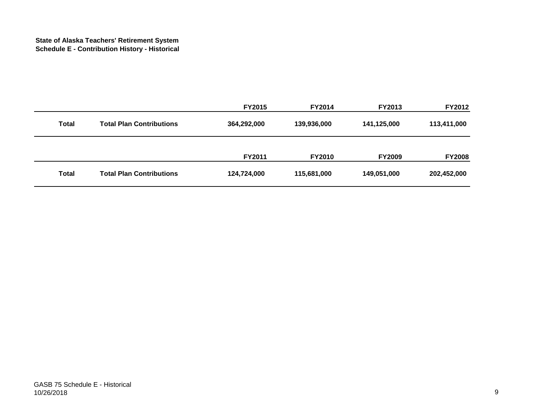|              |                                 | <b>FY2015</b> | <b>FY2014</b> | <b>FY2013</b> | <b>FY2012</b> |
|--------------|---------------------------------|---------------|---------------|---------------|---------------|
| <b>Total</b> | <b>Total Plan Contributions</b> | 364,292,000   | 139,936,000   | 141,125,000   | 113,411,000   |
|              |                                 | FY2011        | <b>FY2010</b> | <b>FY2009</b> | <b>FY2008</b> |
| <b>Total</b> | <b>Total Plan Contributions</b> | 124,724,000   | 115,681,000   | 149,051,000   | 202,452,000   |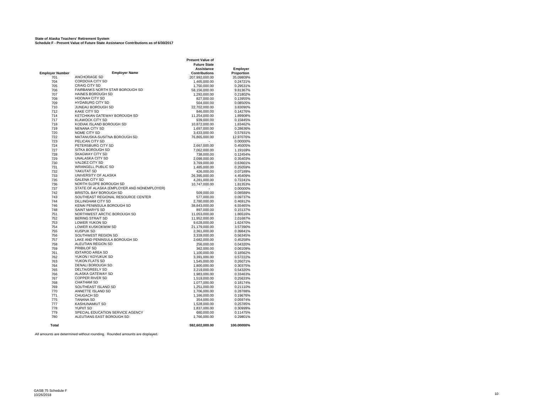#### **State of Alaska Teachers' Retirement System**

**Schedule F - Present Value of Future State Assistance Contributions as of 6/30/2017**

|                        |                                            | <b>Present Value of</b> |            |
|------------------------|--------------------------------------------|-------------------------|------------|
|                        |                                            | <b>Future State</b>     |            |
|                        |                                            | <b>Assistance</b>       | Employer   |
| <b>Employer Number</b> | <b>Employer Name</b>                       | Contributions           | Proportion |
| 701                    | ANCHORAGE SD                               | 207,992,000.00          | 35.09809%  |
| 704                    | CORDOVA CITY SD                            | 1,465,000.00            | 0.24721%   |
| 705                    | <b>CRAIG CITY SD</b>                       | 1,750,000.00            | 0.29531%   |
| 706                    | <b>FAIRBANKS NORTH STAR BOROUGH SD</b>     | 58,156,000.00           | 9.81367%   |
| 707                    | <b>HAINES BOROUGH SD</b>                   | 1,292,000.00            | 0.21802%   |
| 708                    | <b>HOONAH CITY SD</b>                      | 827,000.00              | 0.13955%   |
| 709                    | <b>HYDABURG CITY SD</b>                    | 504,000.00              | 0.08505%   |
| 710                    | JUNEAU BOROUGH SD                          | 22,702,000.00           | 3.83090%   |
| 712                    | <b>KAKE CITY SD</b>                        | 846,000.00              | 0.14276%   |
| 714                    | KETCHIKAN GATEWAY BOROUGH SD               |                         | 1.89908%   |
|                        | <b>KLAWOCK CITY SD</b>                     | 11,254,000.00           |            |
| 717                    |                                            | 939,000.00              | 0.15845%   |
| 718                    | KODIAK ISLAND BOROUGH SD                   | 10,872,000.00           | 1.83462%   |
| 719                    | NENANA CITY SD                             | 1,697,000.00            | 0.28636%   |
| 720                    | NOME CITY SD                               | 3,433,000.00            | 0.57931%   |
| 722                    | MATANUSKA-SUSITNA BOROUGH SD               | 76,865,000.00           | 12.97076%  |
| 723                    | PELICAN CITY SD                            |                         | 0.00000%   |
| 724                    | PETERSBURG CITY SD                         | 2.667.000.00            | 0.45005%   |
| 727                    | SITKA BOROUGH SD                           | 7,062,000.00            | 1.19169%   |
| 728                    | SKAGWAY CITY SD                            | 738,000.00              | 0.12454%   |
| 729                    | UNALASKA CITY SD                           | 2,098,000.00            | 0.35403%   |
| 730                    | VALDEZ CITY SD                             | 3,769,000.00            | 0.63601%   |
| 731                    | <b>WRANGELL PUBLIC SD</b>                  | 1,485,000.00            | 0.25059%   |
| 732                    | YAKUTAT SD                                 | 426,000.00              | 0.07189%   |
| 733                    | UNIVERSITY OF ALASKA                       | 26,395,000.00           | 4.45409%   |
| 735                    | <b>GALENA CITY SD</b>                      | 4,281,000.00            | 0.72241%   |
| 736                    | NORTH SLOPE BOROUGH SD                     | 10,747,000.00           | 1.81353%   |
| 737                    | STATE OF ALASKA (EMPLOYER AND NONEMPLOYER) |                         | 0.00000%   |
| 742                    |                                            |                         |            |
|                        | BRISTOL BAY BOROUGH SD                     | 509,000.00              | 0.08589%   |
| 743                    | SOUTHEAST REGIONAL RESOURCE CENTER         | 577,000.00              | 0.09737%   |
| 744                    | DILLINGHAM CITY SD                         | 2,780,000.00            | 0.46912%   |
| 746                    | KENAI PENINSULA BOROUGH SD                 | 38,843,000.00           | 6.55465%   |
| 748                    | <b>SAINT MARY'S SD</b>                     | 897,000.00              | 0.15137%   |
| 751                    | NORTHWEST ARCTIC BOROUGH SD                | 11,053,000.00           | 1.86516%   |
| 752                    | <b>BERING STRAIT SD</b>                    | 11,952,000.00           | 2.01687%   |
| 753                    | LOWER YUKON SD                             | 9,628,000.00            | 1.62470%   |
| 754                    | LOWER KUSKOKWIM SD                         | 21,179,000.00           | 3.57390%   |
| 755                    | <b>KUSPUK SD</b>                           | 2,361,000.00            | 0.39841%   |
| 756                    | SOUTHWEST REGION SD                        | 3,339,000.00            | 0.56345%   |
| 757                    | LAKE AND PENINSULA BOROUGH SD              | 2,682,000.00            | 0.45258%   |
| 758                    | ALEUTIAN REGION SD                         | 256,000.00              | 0.04320%   |
| 759                    | PRIBILOF SD                                | 362,000.00              | 0.06109%   |
| 761                    | <b>IDITAROD AREA SD</b>                    | 1,100,000.00            | 0.18562%   |
| 762                    | YUKON / KOYUKUK SD                         | 3,391,000.00            | 0.57222%   |
| 763                    | YUKON FLATS SD                             | 1,545,000.00            | 0.26071%   |
| 764                    | <b>DENALI BOROUGH SD</b>                   | 1,800,000.00            | 0.30375%   |
| 765                    | DELTA/GREELY SD                            | 3,219,000.00            | 0.54320%   |
| 766                    | ALASKA GATEWAY SD                          |                         | 0.33463%   |
|                        |                                            | 1,983,000.00            |            |
| 767                    | <b>COPPER RIVER SD</b>                     | 1,519,000.00            | 0.25633%   |
| 768                    | <b>CHATHAM SD</b>                          | 1,077,000.00            | 0.18174%   |
| 769                    | SOUTHEAST ISLAND SD                        | 1,251,000.00            | 0.21110%   |
| 770                    | ANNETTE ISLAND SD                          | 1,706,000.00            | 0.28788%   |
| 771                    | <b>CHUGACH SD</b>                          | 1,166,000.00            | 0.19676%   |
| 775                    | <b>TANANA SD</b>                           | 354,000.00              | 0.05974%   |
| 777                    | <b>KASHUNAMIUT SD</b>                      | 1,528,000.00            | 0.25785%   |
| 778                    | <b>YUPIIT SD</b>                           | 1,837,000.00            | 0.30999%   |
| 779                    | SPECIAL EDUCATION SERVICE AGENCY           | 680,000.00              | 0.11475%   |
| 780                    | ALEUTIANS EAST BOROUGH SD                  | 1,766,000.00            | 0.29801%   |
|                        |                                            |                         |            |
| <b>Total</b>           |                                            | 592,602,000.00          | 100.00000% |
|                        |                                            |                         |            |

All amounts are determined without rounding. Rounded amounts are displayed.